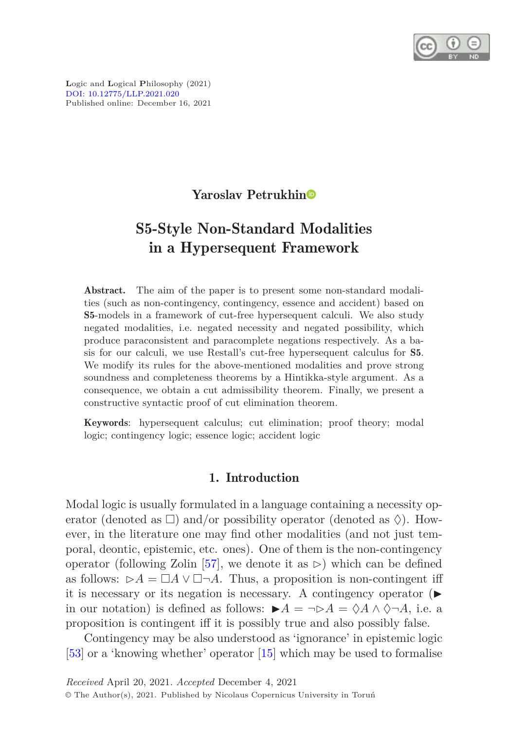

**L**ogic and **L**ogical **P**hilosophy (2021) [DOI: 10.12775/LLP.2021.020](http://dx.doi.org/10.12775/LLP.2021.020) Published online: December 16, 2021

## Yaroslav Petrukhi[n](https://orcid.org/0000-0002-7731-1339)

# S5-Style Non-Standard Modalities in a Hypersequent Framework

Abstract. The aim of the paper is to present some non-standard modalities (such as non-contingency, contingency, essence and accident) based on S5-models in a framework of cut-free hypersequent calculi. We also study negated modalities, i.e. negated necessity and negated possibility, which produce paraconsistent and paracomplete negations respectively. As a basis for our calculi, we use Restall's cut-free hypersequent calculus for S5. We modify its rules for the above-mentioned modalities and prove strong soundness and completeness theorems by a Hintikka-style argument. As a consequence, we obtain a cut admissibility theorem. Finally, we present a constructive syntactic proof of cut elimination theorem.

Keywords: hypersequent calculus; cut elimination; proof theory; modal logic; contingency logic; essence logic; accident logic

## 1. Introduction

Modal logic is usually formulated in a language containing a necessity operator (denoted as  $\square$ ) and/or possibility operator (denoted as  $\lozenge$ ). However, in the literature one may find other modalities (and not just temporal, deontic, epistemic, etc. ones). One of them is the non-contingency operator (following Zolin [\[57\]](#page-29-0), we denote it as  $\triangleright$ ) which can be defined as follows:  $\rhd A = \Box A \lor \Box \neg A$ . Thus, a proposition is non-contingent iff it is necessary or its negation is necessary. A contingency operator  $(\blacktriangleright)$ in our notation) is defined as follows:  $\blacktriangleright A = \neg \triangleright A = \Diamond A \wedge \Diamond \neg A$ , i.e. a proposition is contingent iff it is possibly true and also possibly false.

Contingency may be also understood as 'ignorance' in epistemic logic [\[53\]](#page-28-0) or a 'knowing whether' operator [\[15\]](#page-25-0) which may be used to formalise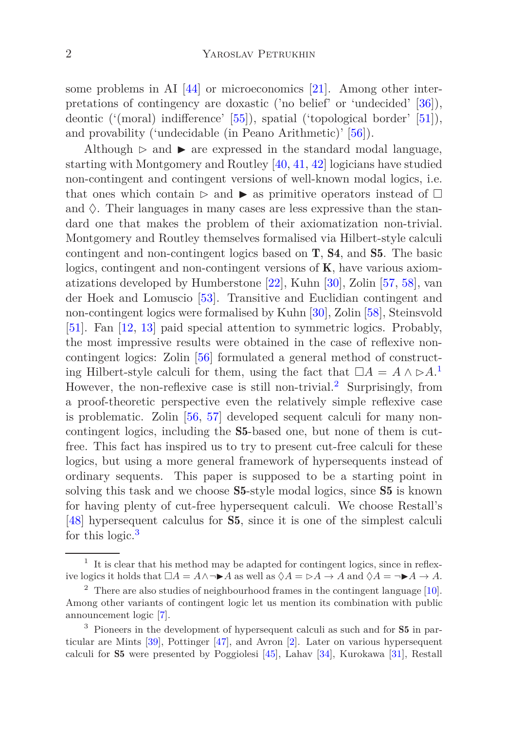some problems in AI [\[44\]](#page-28-1) or microeconomics [\[21](#page-26-0)]. Among other interpretations of contingency are doxastic ('no belief' or 'undecided' [\[36\]](#page-27-0)), deontic ('(moral) indifference' [\[55](#page-28-2)]), spatial ('topological border' [\[51\]](#page-28-3)), and provability ('undecidable (in Peano Arithmetic)' [\[56](#page-29-1)]).

Although  $\triangleright$  and  $\triangleright$  are expressed in the standard modal language, starting with Montgomery and Routley [\[40](#page-27-1), [41](#page-27-2), [42](#page-27-3)] logicians have studied non-contingent and contingent versions of well-known modal logics, i.e. that ones which contain ⊳ and ► as primitive operators instead of  $\Box$ and  $\Diamond$ . Their languages in many cases are less expressive than the standard one that makes the problem of their axiomatization non-trivial. Montgomery and Routley themselves formalised via Hilbert-style calculi contingent and non-contingent logics based on T, S4, and S5. The basic logics, contingent and non-contingent versions of  $K$ , have various axiomatizations developed by Humberstone [\[22](#page-26-1)], Kuhn [\[30](#page-26-2)], Zolin [\[57,](#page-29-0) [58](#page-29-2)], van der Hoek and Lomuscio [\[53](#page-28-0)]. Transitive and Euclidian contingent and non-contingent logics were formalised by Kuhn [\[30](#page-26-2)], Zolin [\[58\]](#page-29-2), Steinsvold [\[51\]](#page-28-3). Fan [\[12](#page-25-1), [13](#page-25-2)] paid special attention to symmetric logics. Probably, the most impressive results were obtained in the case of reflexive noncontingent logics: Zolin [\[56\]](#page-29-1) formulated a general method of constructing Hilbert-style calculi for them, using the fact that  $\Box A = A \land \triangleright A$ <sup>[1](#page-1-0)</sup> However, the non-reflexive case is still non-trivial.[2](#page-1-1) Surprisingly, from a proof-theoretic perspective even the relatively simple reflexive case is problematic. Zolin [\[56,](#page-29-1) [57\]](#page-29-0) developed sequent calculi for many noncontingent logics, including the S5-based one, but none of them is cutfree. This fact has inspired us to try to present cut-free calculi for these logics, but using a more general framework of hypersequents instead of ordinary sequents. This paper is supposed to be a starting point in solving this task and we choose **S5**-style modal logics, since **S5** is known for having plenty of cut-free hypersequent calculi. We choose Restall's [\[48\]](#page-28-4) hypersequent calculus for S5, since it is one of the simplest calculi for this logic.[3](#page-1-2)

<span id="page-1-0"></span><sup>&</sup>lt;sup>1</sup> It is clear that his method may be adapted for contingent logics, since in reflexive logics it holds that  $\Box A = A \land \neg \blacktriangleright A$  as well as  $\Diamond A = \Diamond A \rightarrow A$  and  $\Diamond A = \neg \blacktriangleright A \rightarrow A$ .

<span id="page-1-1"></span> $2$  There are also studies of neighbourhood frames in the contingent language  $[10]$ . Among other variants of contingent logic let us mention its combination with public announcement logic [\[7\]](#page-25-4).

<span id="page-1-2"></span><sup>&</sup>lt;sup>3</sup> Pioneers in the development of hypersequent calculi as such and for **S5** in particular are Mints [\[39](#page-27-4)], Pottinger [\[47\]](#page-28-5), and Avron [\[2\]](#page-24-0). Later on various hypersequent calculi for S5 were presented by Poggiolesi [\[45\]](#page-28-6), Lahav [\[34\]](#page-27-5), Kurokawa [\[31\]](#page-27-6), Restall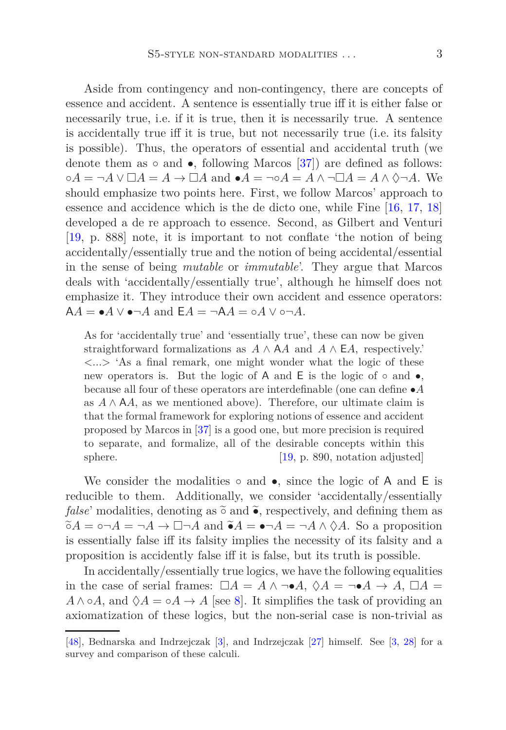Aside from contingency and non-contingency, there are concepts of essence and accident. A sentence is essentially true iff it is either false or necessarily true, i.e. if it is true, then it is necessarily true. A sentence is accidentally true iff it is true, but not necessarily true (i.e. its falsity is possible). Thus, the operators of essential and accidental truth (we denote them as  $\circ$  and  $\bullet$ , following Marcos [\[37](#page-27-7)]) are defined as follows:  $\circ A = \neg A \lor \Box A = A \to \Box A$  and  $\bullet A = \neg \circ A = A \land \neg \Box A = A \land \Diamond \neg A$ . We should emphasize two points here. First, we follow Marcos' approach to essence and accidence which is the de dicto one, while Fine [\[16](#page-25-5), [17](#page-26-3), [18\]](#page-26-4) developed a de re approach to essence. Second, as Gilbert and Venturi [\[19,](#page-26-5) p. 888] note, it is important to not conflate 'the notion of being accidentally/essentially true and the notion of being accidental/essential in the sense of being *mutable* or *immutable*'. They argue that Marcos deals with 'accidentally/essentially true', although he himself does not emphasize it. They introduce their own accident and essence operators:  $AA = \bullet A \lor \bullet \neg A$  and  $EA = \neg AA = \circ A \lor \circ \neg A$ .

As for 'accidentally true' and 'essentially true', these can now be given straightforward formalizations as  $A \wedge A$  and  $A \wedge E$ *A*, respectively.'  $\langle \ldots \rangle$  'As a final remark, one might wonder what the logic of these new operators is. But the logic of A and E is the logic of  $\circ$  and  $\bullet$ , because all four of these operators are interdefinable (one can define •*A* as  $A \wedge A$ , as we mentioned above). Therefore, our ultimate claim is that the formal framework for exploring notions of essence and accident proposed by Marcos in [\[37\]](#page-27-7) is a good one, but more precision is required to separate, and formalize, all of the desirable concepts within this sphere. [\[19,](#page-26-5) p. 890, notation adjusted]

We consider the modalities  $\circ$  and  $\bullet$ , since the logic of A and E is reducible to them. Additionally, we consider 'accidentally/essentially *false*' modalities, denoting as  $\tilde{\circ}$  and  $\tilde{\bullet}$ , respectively, and defining them as  $\tilde{\circ}A = \circ \neg A = \neg A \rightarrow \Box \neg A$  and  $\tilde{\bullet}A = \bullet \neg A = \neg A \wedge \Diamond A$ . So a proposition is essentially false iff its falsity implies the necessity of its falsity and a proposition is accidently false iff it is false, but its truth is possible.

In accidentally/essentially true logics, we have the following equalities in the case of serial frames:  $\Box A = A \land \neg \bullet A$ ,  $\Diamond A = \neg \bullet A \rightarrow A$ ,  $\Box A =$  $A \wedge \circ A$ , and  $\Diamond A = \circ A \rightarrow A$  [see [8\]](#page-25-6). It simplifies the task of providing an axiomatization of these logics, but the non-serial case is non-trivial as

[<sup>\[48\]</sup>](#page-28-4), Bednarska and Indrzejczak [\[3](#page-24-1)], and Indrzejczak [\[27\]](#page-26-6) himself. See [\[3](#page-24-1), [28\]](#page-26-7) for a survey and comparison of these calculi.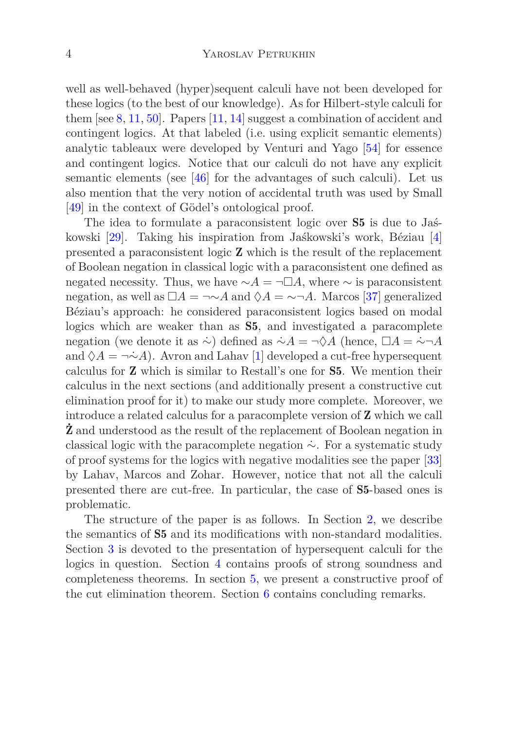well as well-behaved (hyper)sequent calculi have not been developed for these logics (to the best of our knowledge). As for Hilbert-style calculi for them  $[see 8, 11, 50]$  $[see 8, 11, 50]$  $[see 8, 11, 50]$  $[see 8, 11, 50]$  $[see 8, 11, 50]$  $[see 8, 11, 50]$  $[see 8, 11, 50]$ . Papers  $[11, 14]$  $[11, 14]$  $[11, 14]$  suggest a combination of accident and contingent logics. At that labeled (i.e. using explicit semantic elements) analytic tableaux were developed by Venturi and Yago [\[54\]](#page-28-8) for essence and contingent logics. Notice that our calculi do not have any explicit semantic elements (see  $[46]$  for the advantages of such calculi). Let us also mention that the very notion of accidental truth was used by Small [\[49\]](#page-28-10) in the context of Gödel's ontological proof.

The idea to formulate a paraconsistent logic over S5 is due to Jaśkowski [\[29](#page-26-8)]. Taking his inspiration from Jaśkowski's work, Béziau [\[4\]](#page-25-9) presented a paraconsistent logic Z which is the result of the replacement of Boolean negation in classical logic with a paraconsistent one defined as negated necessity. Thus, we have  $\sim A = \neg \Box A$ , where  $\sim$  is paraconsistent negation, as well as  $\Box A = \neg \sim A$  and  $\Diamond A = \neg \neg A$ . Marcos [\[37\]](#page-27-7) generalized Béziau's approach: he considered paraconsistent logics based on modal logics which are weaker than as S5, and investigated a paracomplete negation (we denote it as  $\sim$ ) defined as  $\sim A = \neg \Diamond A$  (hence,  $\Box A = \sim \neg A$ and  $\Diamond A = \neg \Diamond A$ ). Avron and Lahav [\[1](#page-24-2)] developed a cut-free hypersequent calculus for Z which is similar to Restall's one for S5. We mention their calculus in the next sections (and additionally present a constructive cut elimination proof for it) to make our study more complete. Moreover, we introduce a related calculus for a paracomplete version of Z which we call **Z** and understood as the result of the replacement of Boolean negation in classical logic with the paracomplete negation  $\sim$ . For a systematic study of proof systems for the logics with negative modalities see the paper [\[33\]](#page-27-8) by Lahav, Marcos and Zohar. However, notice that not all the calculi presented there are cut-free. In particular, the case of S5-based ones is problematic.

The structure of the paper is as follows. In Section [2,](#page-4-0) we describe the semantics of S5 and its modifications with non-standard modalities. Section [3](#page-5-0) is devoted to the presentation of hypersequent calculi for the logics in question. Section [4](#page-8-0) contains proofs of strong soundness and completeness theorems. In section [5,](#page-13-0) we present a constructive proof of the cut elimination theorem. Section [6](#page-23-0) contains concluding remarks.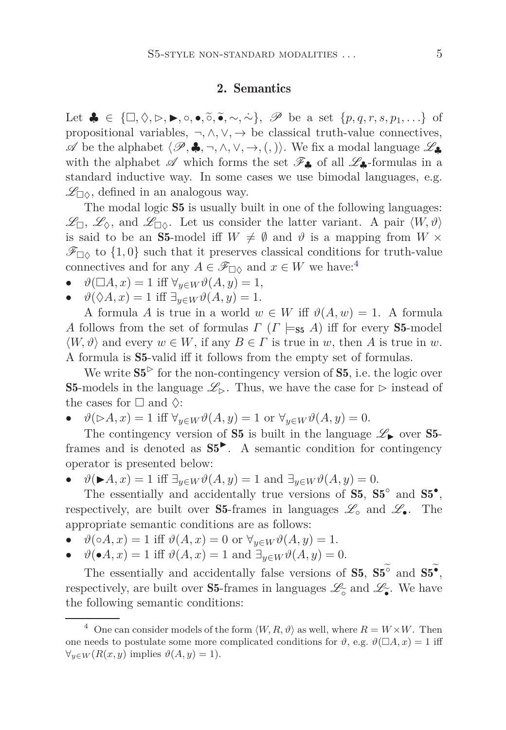#### 2. Semantics

<span id="page-4-0"></span>Let  $\clubsuit \in {\square, \Diamond, \triangleright, \blacktriangleright, \circ, \bullet, \tilde{\circ}, \tilde{\bullet}, \sim, \sim}, \mathscr{P}$  be a set  $\{p, q, r, s, p_1, \ldots\}$  of propositional variables,  $\neg, \wedge, \vee, \rightarrow$  be classical truth-value connectives,  $\mathscr A$  be the alphabet  $\langle \mathscr P, \clubsuit, \neg, \wedge, \vee, \rightarrow, (,) \rangle$ . We fix a modal language  $\mathscr L_{\clubsuit}$ with the alphabet  $\mathscr A$  which forms the set  $\mathscr F_{\clubsuit}$  of all  $\mathscr L_{\clubsuit}$ -formulas in a standard inductive way. In some cases we use bimodal languages, e.g.  $\mathscr{L}_{\Box\Diamond}$ , defined in an analogous way.

The modal logic S5 is usually built in one of the following languages:  $\mathscr{L}_{\Box}, \mathscr{L}_{\Diamond},$  and  $\mathscr{L}_{\Box \Diamond}$ . Let us consider the latter variant. A pair  $\langle W, \vartheta \rangle$ is said to be an **S5**-model iff  $W \neq \emptyset$  and  $\vartheta$  is a mapping from  $W \times$  $\mathscr{F}_{\Box\Diamond}$  to  $\{1,0\}$  such that it preserves classical conditions for truth-value connectives and for any  $A \in \mathscr{F}_{\Box \Diamond}$  and  $x \in W$  we have:<sup>[4](#page-4-1)</sup>

- $\vartheta(\Box A, x) = 1$  iff  $\forall_{y \in W} \vartheta(A, y) = 1$ ,
- $\vartheta(\Diamond A, x) = 1$  iff  $\exists_{y \in W} \vartheta(A, y) = 1$ .

A formula *A* is true in a world  $w \in W$  iff  $\vartheta(A, w) = 1$ . A formula *A* follows from the set of formulas *Γ* ( $\Gamma$   $\models$  55 *A*) iff for every **S5**-model  $\langle W, \vartheta \rangle$  and every  $w \in W$ , if any  $B \in \Gamma$  is true in *w*, then *A* is true in *w*. A formula is S5-valid iff it follows from the empty set of formulas.

We write  $S5^>$  for the non-contingency version of S5, i.e. the logic over S5-models in the language  $\mathscr{L}_{\triangleright}$ . Thus, we have the case for  $\triangleright$  instead of the cases for  $\square$  and  $\diamondsuit$ :

 $\vartheta(\triangleright A, x) = 1$  iff  $\forall_{y \in W} \vartheta(A, y) = 1$  or  $\forall_{y \in W} \vartheta(A, y) = 0$ .

The contingency version of S5 is built in the language  $\mathscr{L}_{\blacktriangleright}$  over S5frames and is denoted as  $S5^{\triangleright}$ . A semantic condition for contingency operator is presented below:

 $\vartheta(\blacktriangleright A, x) = 1$  iff  $\exists_{y \in W} \vartheta(A, y) = 1$  and  $\exists_{y \in W} \vartheta(A, y) = 0$ .

The essentially and accidentally true versions of  $S5, S5^{\circ}$  and  $S5^{\bullet}$ , respectively, are built over S5-frames in languages  $\mathscr{L}_{\circ}$  and  $\mathscr{L}_{\bullet}$ . The appropriate semantic conditions are as follows:

- $\vartheta(\circ A, x) = 1$  iff  $\vartheta(A, x) = 0$  or  $\forall y \in W \vartheta(A, y) = 1$ .
- $\vartheta(\bullet A, x) = 1$  iff  $\vartheta(A, x) = 1$  and  $\exists_{y \in W} \vartheta(A, y) = 0$ .

The essentially and accidentally false versions of  $S5, S5^{\circ}$  and  $S5^{\bullet}$ , respectively, are built over **S5**-frames in languages  $\mathcal{L}_{\widetilde{\bullet}}$  and  $\mathcal{L}_{\widetilde{\bullet}}$ . We have the following semantic conditions: the following semantic conditions:

<span id="page-4-1"></span><sup>&</sup>lt;sup>4</sup> One can consider models of the form  $\langle W, R, \vartheta \rangle$  as well, where  $R = W \times W$ . Then one needs to postulate some more complicated conditions for  $\vartheta$ , e.g.  $\vartheta(\Box A, x) = 1$  iff  $∀<sub>y∈W</sub>(R(x, y) \text{ implies } ∅(A, y) = 1).$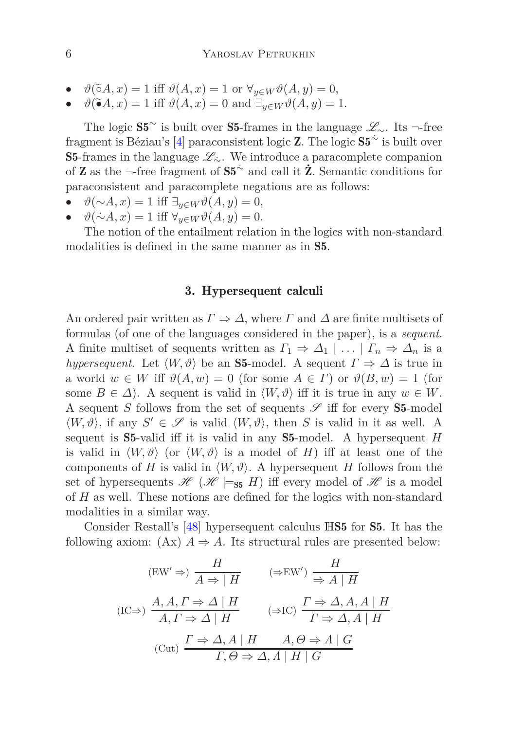- $\vartheta(\tilde{\circ}A, x) = 1$  iff  $\vartheta(A, x) = 1$  or  $\forall_{y \in W} \vartheta(A, y) = 0$ ,
- $\vartheta(\tilde{\bullet}A, x) = 1$  iff  $\vartheta(A, x) = 0$  and  $\exists_{y \in W} \vartheta(A, y) = 1$ .

The logic  $S5^{\sim}$  is built over S5-frames in the language  $\mathscr{L}_{\sim}$ . Its  $\neg$ -free fragment is Béziau's  $[4]$  paraconsistent logic Z. The logic  $S5^{\sim}$  is built over S5-frames in the language  $\mathscr{L}_\sim$ . We introduce a paracomplete companion of **Z** as the ¬-free fragment of  $S5^{\sim}$  and call it  $\dot{Z}$ . Semantic conditions for paraconsistent and paracomplete negations are as follows:

- $\vartheta(\sim A, x) = 1$  iff  $\exists_{y \in W} \vartheta(A, y) = 0$ ,
- $\vartheta(\sim A, x) = 1$  iff  $\forall_{y \in W} \vartheta(A, y) = 0$ .

<span id="page-5-0"></span>The notion of the entailment relation in the logics with non-standard modalities is defined in the same manner as in S5.

#### 3. Hypersequent calculi

An ordered pair written as  $\Gamma \Rightarrow \Delta$ , where  $\Gamma$  and  $\Delta$  are finite multisets of formulas (of one of the languages considered in the paper), is a *sequent*. A finite multiset of sequents written as  $\Gamma_1 \Rightarrow \Delta_1 \mid \ldots \mid \Gamma_n \Rightarrow \Delta_n$  is a *hypersequent*. Let  $\langle W, \vartheta \rangle$  be an **S5**-model. A sequent  $\Gamma \Rightarrow \Delta$  is true in a world  $w \in W$  iff  $\vartheta(A, w) = 0$  (for some  $A \in \Gamma$ ) or  $\vartheta(B, w) = 1$  (for some  $B \in \Delta$ ). A sequent is valid in  $\langle W, \vartheta \rangle$  iff it is true in any  $w \in W$ . A sequent *S* follows from the set of sequents  $\mathscr S$  iff for every **S5**-model  $\langle W, \vartheta \rangle$ , if any  $S' \in \mathscr{S}$  is valid  $\langle W, \vartheta \rangle$ , then *S* is valid in it as well. A sequent is S5-valid iff it is valid in any S5-model. A hypersequent *H* is valid in  $\langle W, \vartheta \rangle$  (or  $\langle W, \vartheta \rangle$  is a model of *H*) iff at least one of the components of *H* is valid in  $\langle W, \vartheta \rangle$ . A hypersequent *H* follows from the set of hypersequents  $\mathscr{H}(\mathscr{H} \models_{\mathsf{S5}} H)$  iff every model of  $\mathscr{H}$  is a model of *H* as well. These notions are defined for the logics with non-standard modalities in a similar way.

Consider Restall's [\[48](#page-28-4)] hypersequent calculus HS5 for S5. It has the following axiom:  $(Ax)$  *A*  $\Rightarrow$  *A*. Its structural rules are presented below:

$$
\begin{array}{ccc}\n\text{(EW}^{\prime} \Rightarrow) & \frac{H}{A \Rightarrow | \ H} & (\Rightarrow \text{EW}^{\prime}) \frac{H}{\Rightarrow A | \ H} \\
\text{(IC} \Rightarrow) & \frac{A, A, \Gamma \Rightarrow \Delta | \ H}{A, \Gamma \Rightarrow \Delta | \ H} & (\Rightarrow \text{IC}) \frac{\Gamma \Rightarrow \Delta, A, A | \ H}{\Gamma \Rightarrow \Delta, A | \ H} \\
\text{(Cut)} & \frac{\Gamma \Rightarrow \Delta, A | \ H}{\Gamma, \Theta \Rightarrow \Delta, A | \ H | \ G}\n\end{array}
$$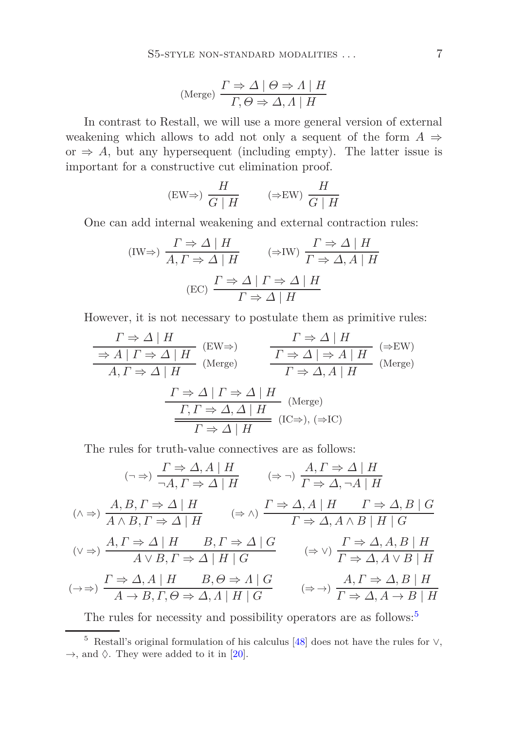(Merge) 
$$
\frac{\Gamma \Rightarrow \Delta \mid \Theta \Rightarrow \Lambda \mid H}{\Gamma, \Theta \Rightarrow \Delta, \Lambda \mid H}
$$

In contrast to Restall, we will use a more general version of external weakening which allows to add not only a sequent of the form  $A \Rightarrow$ or  $\Rightarrow$  *A*, but any hypersequent (including empty). The latter issue is important for a constructive cut elimination proof.

$$
(\text{EW}\Rightarrow) \frac{H}{G \mid H} \qquad (\Rightarrow \text{EW}) \frac{H}{G \mid H}
$$

One can add internal weakening and external contraction rules:

$$
\text{(IW}\Rightarrow) \frac{\Gamma \Rightarrow \Delta \mid H}{A, \Gamma \Rightarrow \Delta \mid H} \qquad (\Rightarrow \text{IW}) \frac{\Gamma \Rightarrow \Delta \mid H}{\Gamma \Rightarrow \Delta, A \mid H}
$$
\n
$$
\text{(EC)} \frac{\Gamma \Rightarrow \Delta \mid \Gamma \Rightarrow \Delta \mid H}{\Gamma \Rightarrow \Delta \mid H}
$$

However, it is not necessary to postulate them as primitive rules:

$$
\frac{\Gamma \Rightarrow \Delta \mid H}{\begin{array}{c|c|c|c}\hline P \Rightarrow \Delta \mid H\end{array}} & \text{(EW}\Rightarrow) & \frac{\Gamma \Rightarrow \Delta \mid H}{\begin{array}{c|c|c}\hline P \Rightarrow \Delta \mid H\end{array}} & \text{(EW}\Rightarrow) & \frac{\Gamma \Rightarrow \Delta \mid H}{\begin{array}{c|c}\hline P \Rightarrow \Delta \mid \Delta \mid H\end{array}} & \text{(Merge)}\\ \hline \begin{array}{c|c}\hline P \Rightarrow \Delta \mid T \Rightarrow \Delta \mid H & \text{(Merge)}\\ \hline \hline \begin{array}{c|c}\hline P \Rightarrow \Delta \land H\end{array}} & \text{(Merge)}\\ \hline \begin{array}{c|c}\hline P \Rightarrow \Delta \land H\end{array}} & \text{(IC}\Rightarrow), (\Rightarrow \text{IC}) & \end{array}
$$

The rules for truth-value connectives are as follows:

$$
(\neg \Rightarrow) \frac{\Gamma \Rightarrow \Delta, A \mid H}{\neg A, \Gamma \Rightarrow \Delta \mid H} \qquad (\Rightarrow \neg) \frac{A, \Gamma \Rightarrow \Delta \mid H}{\Gamma \Rightarrow \Delta, \neg A \mid H}
$$
  

$$
(\land \Rightarrow) \frac{A, B, \Gamma \Rightarrow \Delta \mid H}{A \land B, \Gamma \Rightarrow \Delta \mid H} \qquad (\Rightarrow \land) \frac{\Gamma \Rightarrow \Delta, A \mid H \qquad \Gamma \Rightarrow \Delta, B \mid G}{\Gamma \Rightarrow \Delta, A \land B \mid H \mid G}
$$
  

$$
(\lor \Rightarrow) \frac{A, \Gamma \Rightarrow \Delta \mid H \qquad B, \Gamma \Rightarrow \Delta \mid G}{A \lor B, \Gamma \Rightarrow \Delta \mid H \mid G} \qquad (\Rightarrow \lor) \frac{\Gamma \Rightarrow \Delta, A, B \mid H}{\Gamma \Rightarrow \Delta, A \lor B \mid H}
$$
  

$$
(\to \Rightarrow) \frac{\Gamma \Rightarrow \Delta, A \mid H \qquad B, \Theta \Rightarrow A \mid G}{A \to B, \Gamma, \Theta \Rightarrow \Delta, A \mid H \mid G} \qquad (\Rightarrow \to) \frac{A, \Gamma \Rightarrow \Delta, B \mid H}{\Gamma \Rightarrow \Delta, A \to B \mid H}
$$

The rules for necessity and possibility operators are as follows:<sup>[5](#page-6-0)</sup>

<span id="page-6-0"></span><sup>5</sup> Restall's original formulation of his calculus [\[48](#page-28-4)] does not have the rules for ∨,  $\rightarrow$ , and  $\Diamond$ . They were added to it in [\[20](#page-26-9)].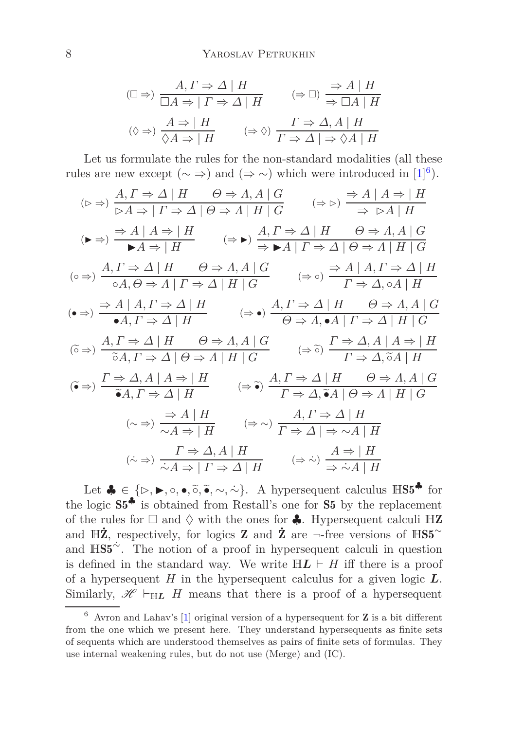$$
(\Box \Rightarrow) \frac{A, \Gamma \Rightarrow \Delta \mid H}{\Box A \Rightarrow \mid \Gamma \Rightarrow \Delta \mid H} \qquad (\Rightarrow \Box) \frac{\Rightarrow A \mid H}{\Rightarrow \Box A \mid H}
$$

$$
(\Diamond \Rightarrow) \frac{A \Rightarrow \mid H}{\Diamond A \Rightarrow \mid H} \qquad (\Rightarrow \Diamond) \frac{\Gamma \Rightarrow \Delta, A \mid H}{\Gamma \Rightarrow \Delta \mid \Rightarrow \Diamond A \mid H}
$$

Let us formulate the rules for the non-standard modalities (all these rules are new except  $(\sim \Rightarrow)$  and  $(\Rightarrow \sim)$  which were introduced in [\[1](#page-24-2)]<sup>[6](#page-7-0)</sup>).

$$
\left(\triangleright \Rightarrow\right) \frac{A, \Gamma \Rightarrow \Delta \mid H \qquad \Theta \Rightarrow A, A \mid G}{\triangleright A \Rightarrow \mid \Gamma \Rightarrow \Delta \mid \Theta \Rightarrow A \mid H \mid G} \qquad (\Rightarrow \triangleright) \frac{\Rightarrow A \mid A \Rightarrow \mid H}{\Rightarrow \triangleright A \mid H}
$$
\n
$$
\left(\bullet \Rightarrow\right) \frac{\Rightarrow A \mid A \Rightarrow \mid H}{\blacktriangleright A \Rightarrow \mid H} \qquad (\Rightarrow \bullet) \frac{A, \Gamma \Rightarrow \Delta \mid H \qquad \Theta \Rightarrow A, A \mid G}{\Rightarrow \blacktriangleright A \mid \Gamma \Rightarrow \Delta \mid \Theta \Rightarrow A \mid H \mid G}
$$
\n
$$
\left(\circ \Rightarrow\right) \frac{A, \Gamma \Rightarrow \Delta \mid H \qquad \Theta \Rightarrow A, A \mid G}{\circ A, \Theta \Rightarrow A \mid \Gamma \Rightarrow \Delta \mid H \mid G} \qquad (\Rightarrow \circ) \frac{\Rightarrow A \mid A, \Gamma \Rightarrow \Delta \mid H}{\Gamma \Rightarrow \Delta, \circ A \mid H}
$$
\n
$$
\left(\bullet \Rightarrow\right) \frac{\Rightarrow A \mid A, \Gamma \Rightarrow \Delta \mid H}{\bullet A, \Gamma \Rightarrow \Delta \mid H} \qquad (\Rightarrow \bullet) \frac{A, \Gamma \Rightarrow \Delta \mid H \qquad \Theta \Rightarrow A, A \mid G}{\Theta \Rightarrow A, \bullet A \mid \Gamma \Rightarrow \Delta \mid H \mid G}
$$
\n
$$
\left(\tilde{\circ} \Rightarrow\right) \frac{A, \Gamma \Rightarrow \Delta \mid H \qquad \Theta \Rightarrow A, A \mid G}{\tilde{\circ} A, \Gamma \Rightarrow \Delta \mid H \mid G} \qquad (\Rightarrow \tilde{\circ}) \frac{\Gamma \Rightarrow \Delta, A \mid A \Rightarrow \mid H}{\Gamma \Rightarrow \Delta, \tilde{\circ} A \mid H}
$$
\n
$$
\left(\tilde{\bullet} \Rightarrow\right) \frac{\Gamma \Rightarrow \Delta, A \mid A \Rightarrow \mid H}{\tilde{\bullet} A, \Gamma \Rightarrow \Delta \mid H} \qquad (\Rightarrow \tilde{\bullet}) \frac{A, \Gamma \Rightarrow \Delta \mid H \qquad \Theta \Rightarrow A, A \mid G}{\Gamma \Rightarrow \Delta, \tilde{\bullet} A \mid \Theta \Rightarrow A \mid H \mid G}
$$
\n
$$
\left(\sim \Rightarrow\right) \frac{\Rightarrow A \mid H}{\sim A \Rightarrow \mid H} \qquad (\Rightarrow \tilde{\bullet}) \frac{A, \Gamma \Rightarrow \Delta \mid H}{\Gamma \Rightarrow \Delta, \tilde{\bullet} A \mid \Theta \Rightarrow A \mid H
$$

Let  $\clubsuit \in {\{\triangleright, \blacktriangleright, \circ, \bullet, \tilde{\circ}, \tilde{\bullet}, \sim, \sim\}}$ . A hypersequent calculus  $\mathbb{H}\mathbb{S}5^{\clubsuit}$  for the logic S5♣ is obtained from Restall's one for S5 by the replacement of the rules for  $\square$  and  $\diamond$  with the ones for  $\clubsuit$ . Hypersequent calculi HZ and H $\mathbb{Z}$ , respectively, for logics **Z** and  $\mathbb{Z}$  are  $\neg$ -free versions of HS5<sup>∼</sup> and  $\mathbb{H}S5^{\sim}$ . The notion of a proof in hypersequent calculi in question is defined in the standard way. We write  $H L \vdash H$  iff there is a proof of a hypersequent *H* in the hypersequent calculus for a given logic *L*. Similarly,  $\mathscr{H} \vdash_{\mathbb{H}L} H$  means that there is a proof of a hypersequent

<span id="page-7-0"></span> $6$  Avron and Lahav's [\[1\]](#page-24-2) original version of a hypersequent for **Z** is a bit different from the one which we present here. They understand hypersequents as finite sets of sequents which are understood themselves as pairs of finite sets of formulas. They use internal weakening rules, but do not use (Merge) and (IC).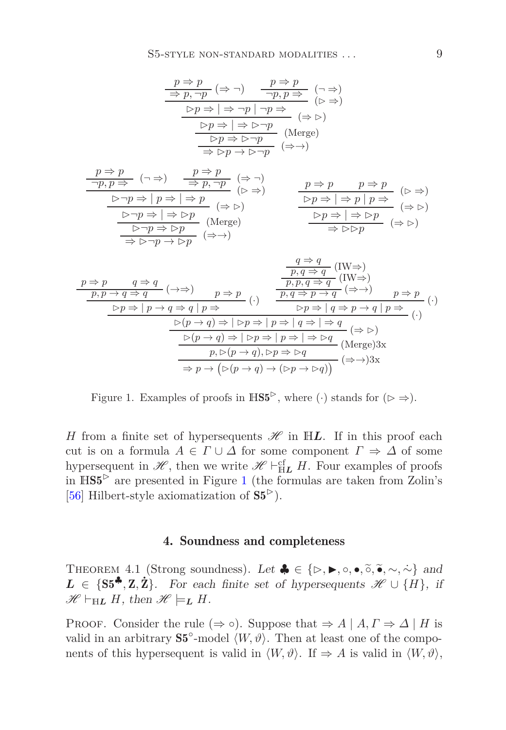$$
\frac{p \Rightarrow p}{\Rightarrow p, \neg p} (\Rightarrow \neg) \qquad \frac{p \Rightarrow p}{\neg p, p \Rightarrow} (\neg \Rightarrow)
$$
\n
$$
\frac{p \Rightarrow p}{\Rightarrow p \Rightarrow p} (\Rightarrow \Rightarrow)
$$
\n
$$
\frac{p \Rightarrow p \Rightarrow \neg p \mid \neg p \Rightarrow}{(p \Rightarrow p)} (\Rightarrow \Rightarrow)
$$
\n
$$
\frac{p \Rightarrow p \Rightarrow \neg p}{\Rightarrow p \Rightarrow \neg p} \text{ (Merge)}
$$
\n
$$
\frac{p \Rightarrow p \Rightarrow \neg p}{\Rightarrow p \Rightarrow p} (\Rightarrow \Rightarrow)
$$

*p* ⇒ *p* (¬ ⇒) ¬*p, p* ⇒ ⇒ (⇒ ¬) *p,* ¬*p* (⊲ ⇒) ⊲¬*p* ⇒ | *p* ⇒ | ⇒ *p* (⇒ ⊲) ⊲¬*p* ⇒ | ⇒ ⊲*p* (Merge) <sup>⊲</sup>¬*<sup>p</sup>* <sup>⇒</sup> <sup>⊲</sup>*<sup>p</sup>* (⇒→) <sup>⇒</sup> <sup>⊲</sup>¬*<sup>p</sup>* <sup>→</sup> <sup>⊲</sup>*<sup>p</sup> p* ⇒ *p p* ⇒ *p* (⊲ ⇒) ⊲*p* ⇒ | ⇒ *p* | *p* ⇒ (⇒ ⊲) ⊲*p* ⇒ | ⇒ ⊲*p* (<sup>⇒</sup> <sup>⊲</sup>) <sup>⇒</sup> ⊲⊲*<sup>p</sup>*

$$
\frac{p \Rightarrow p \qquad q \Rightarrow q}{p, p \rightarrow q \Rightarrow q} (\rightarrow \Rightarrow) \qquad p \Rightarrow p \qquad (\rightarrow \Rightarrow) \qquad \frac{p, q \Rightarrow q}{p, q \Rightarrow q} (\text{IW})
$$
\n
$$
\frac{p, p \rightarrow q \Rightarrow q}{p, p \rightarrow q \Rightarrow q} (\rightarrow \Rightarrow) \qquad p \Rightarrow p}{\Rightarrow p \rightarrow q \Rightarrow p \rightarrow q} (\rightarrow \Rightarrow) \qquad p \Rightarrow p}{\Rightarrow p \rightarrow q \Rightarrow p \rightarrow q} (\rightarrow \Rightarrow) \qquad p \Rightarrow p \Rightarrow (p \rightarrow q) \Rightarrow (p \rightarrow q) \Rightarrow (p \rightarrow q) \Rightarrow (p \rightarrow q) \Rightarrow (p \rightarrow q) \Rightarrow (p \rightarrow q) \Rightarrow (p \rightarrow q) \Rightarrow (p \rightarrow q) \Rightarrow (p \rightarrow q) \Rightarrow (p \rightarrow q) \Rightarrow (p \rightarrow q) \Rightarrow (p \rightarrow q) \Rightarrow (p \rightarrow q) \Rightarrow (p \rightarrow q) \Rightarrow (p \rightarrow q) \Rightarrow (p \rightarrow q) \Rightarrow (p \rightarrow q) \Rightarrow (p \rightarrow q) \Rightarrow (p \rightarrow q) \Rightarrow (p \rightarrow q) \Rightarrow (p \rightarrow q) \Rightarrow (p \rightarrow q) \Rightarrow (p \rightarrow q) \Rightarrow (p \rightarrow q) \Rightarrow (p \rightarrow q) \Rightarrow (p \rightarrow q) \Rightarrow (p \rightarrow q) \Rightarrow (p \rightarrow q) \Rightarrow (p \rightarrow q) \Rightarrow (p \rightarrow q) \Rightarrow (p \rightarrow q) \Rightarrow (p \rightarrow q) \Rightarrow (p \rightarrow q) \Rightarrow (p \rightarrow q) \Rightarrow (p \rightarrow q) \Rightarrow (p \rightarrow q) \Rightarrow (p \rightarrow q) \Rightarrow (p \rightarrow q) \Rightarrow (p \rightarrow q) \Rightarrow (p \rightarrow q) \Rightarrow (p \rightarrow q) \Rightarrow (p \rightarrow q) \Rightarrow (p \rightarrow q) \Rightarrow (p \rightarrow q) \Rightarrow (p \rightarrow q) \Rightarrow (p \rightarrow q) \Rightarrow (p \rightarrow q) \Rightarrow (p \rightarrow q) \Rightarrow (p \rightarrow q) \Rightarrow (p \rightarrow q) \Rightarrow (p \rightarrow q) \Rightarrow (p \rightarrow q) \Rightarrow (p \rightarrow q) \Rightarrow (p \rightarrow q) \Rightarrow (p \rightarrow q) \Rightarrow (p \rightarrow q) \Rightarrow (p \rightarrow q) \Rightarrow (p \rightarrow q) \Rightarrow (p \rightarrow q) \Rightarrow (p \rightarrow q) \Rightarrow (p \rightarrow q) \Rightarrow (p \rightarrow q) \Rightarrow (p \rightarrow q) \Rightarrow (p \rightarrow q) \Rightarrow (p \rightarrow q) \Rightarrow (p \rightarrow q) \Rightarrow (p \rightarrow q) \Rightarrow (p \rightarrow q) \Rightarrow (p \rightarrow q) \Rightarrow (p \rightarrow q) \Rightarrow (p \rightarrow q) \Rightarrow (p \rightarrow q) \Rightarrow (p \rightarrow q) \Rightarrow (p \rightarrow q) \Rightarrow
$$

<span id="page-8-1"></span>Figure 1. Examples of proofs in  $\mathbb{H}\mathbb{S}^{5}$ , where ( $\cdot$ ) stands for ( $\triangleright \Rightarrow$ ).

<span id="page-8-0"></span>*H* from a finite set of hypersequents  $\mathscr H$  in H*L*. If in this proof each cut is on a formula  $A \in \Gamma \cup \Delta$  for some component  $\Gamma \Rightarrow \Delta$  of some hypersequent in  $\mathscr{H}$ , then we write  $\mathscr{H} \vdash^{\text{cf}}_{\mathbb{H}L} H$ . Four examples of proofs in  $HSS^>$  are presented in Figure [1](#page-8-1) (the formulas are taken from Zolin's [\[56\]](#page-29-1) Hilbert-style axiomatization of  $S5^>$ ).

## 4. Soundness and completeness

<span id="page-8-2"></span>THEOREM 4.1 (Strong soundness). Let  $\clubsuit \in \{\triangleright, \blacktriangleright, \circ, \bullet, \tilde{\circ}, \tilde{\bullet}, \sim, \sim\}$  and *L* ∈ {S5<sup> $\clubsuit$ </sup>, Z,  $\dot{Z}$ }. For each finite set of hypersequents  $\mathcal{H} \cup \{H\}$ , if  $\mathscr{H} \vdash_{\mathbb{H}\mathbf{L}} H$ , then  $\mathscr{H} \models_{\mathbf{L}} H$ .

PROOF. Consider the rule  $(\Rightarrow \circ)$ . Suppose that  $\Rightarrow A \mid A, \Gamma \Rightarrow \Delta \mid H$  is valid in an arbitrary  $S5^{\circ}$ -model  $\langle W, \vartheta \rangle$ . Then at least one of the components of this hypersequent is valid in  $\langle W, \vartheta \rangle$ . If  $\Rightarrow A$  is valid in  $\langle W, \vartheta \rangle$ ,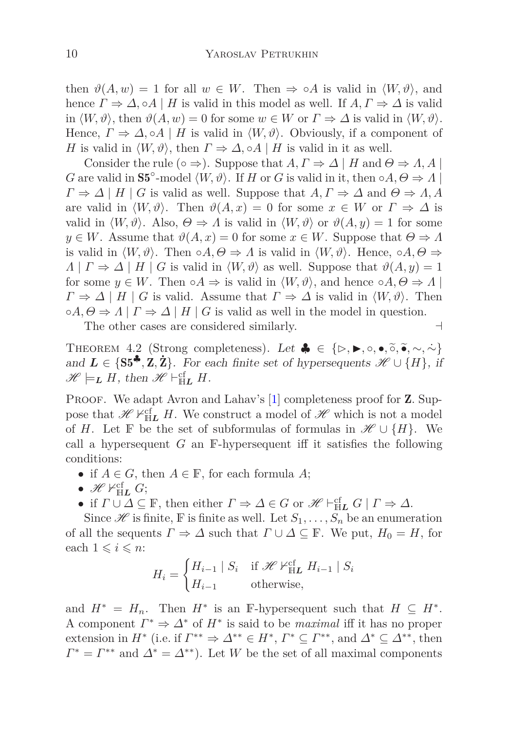then  $\vartheta(A, w) = 1$  for all  $w \in W$ . Then  $\Rightarrow \circ A$  is valid in  $\langle W, \vartheta \rangle$ , and hence  $\Gamma \Rightarrow \Delta$ ,  $\circ A \mid H$  is valid in this model as well. If  $A, \Gamma \Rightarrow \Delta$  is valid in  $\langle W, \vartheta \rangle$ , then  $\vartheta(A, w) = 0$  for some  $w \in W$  or  $\Gamma \Rightarrow \Delta$  is valid in  $\langle W, \vartheta \rangle$ . Hence,  $\Gamma \Rightarrow \Delta$ ,  $\circ A \mid H$  is valid in  $\langle W, \vartheta \rangle$ . Obviously, if a component of *H* is valid in  $\langle W, \vartheta \rangle$ , then  $\Gamma \Rightarrow \Delta$ ,  $\circ A \mid H$  is valid in it as well.

Consider the rule ( $\circ \Rightarrow$ ). Suppose that  $A, \Gamma \Rightarrow \Delta \mid H$  and  $\Theta \Rightarrow \Lambda, A \mid$ *G* are valid in  $S5^{\circ}$ -model  $\langle W, \vartheta \rangle$ . If *H* or *G* is valid in it, then  $\circ A, \Theta \Rightarrow A$  $\Gamma \Rightarrow \Delta \mid H \mid G$  is valid as well. Suppose that  $A, \Gamma \Rightarrow \Delta$  and  $\Theta \Rightarrow \Lambda, A$ are valid in  $\langle W, \vartheta \rangle$ . Then  $\vartheta(A, x) = 0$  for some  $x \in W$  or  $\Gamma \Rightarrow \Delta$  is valid in  $\langle W, \vartheta \rangle$ . Also,  $\Theta \Rightarrow \Lambda$  is valid in  $\langle W, \vartheta \rangle$  or  $\vartheta(A, y) = 1$  for some  $y \in W$ . Assume that  $\vartheta(A, x) = 0$  for some  $x \in W$ . Suppose that  $\Theta \Rightarrow \Lambda$ is valid in  $\langle W, \vartheta \rangle$ . Then  $\circ A, \Theta \Rightarrow \Lambda$  is valid in  $\langle W, \vartheta \rangle$ . Hence,  $\circ A, \Theta \Rightarrow$ *Λ* | *Γ*  $\Rightarrow$  *Δ* | *H* | *G* is valid in  $\langle W, \vartheta \rangle$  as well. Suppose that  $\vartheta(A, y) = 1$ for some  $y \in W$ . Then  $\circ A \Rightarrow$  is valid in  $\langle W, \vartheta \rangle$ , and hence  $\circ A, \Theta \Rightarrow \Lambda$  $\Gamma \Rightarrow \Delta \mid H \mid G$  is valid. Assume that  $\Gamma \Rightarrow \Delta$  is valid in  $\langle W, \vartheta \rangle$ . Then  $\circ A, \Theta \Rightarrow A \mid \Gamma \Rightarrow \Delta \mid H \mid G$  is valid as well in the model in question.

The other cases are considered similarly. ⊣

<span id="page-9-0"></span>THEOREM 4.2 (Strong completeness). Let  $\clubsuit \in \{\triangleright, \blacktriangleright, \circ, \bullet, \widetilde{\circ}, \widetilde{\bullet}, \sim, \widetilde{\sim}\}$ and  $\mathbf{L} \in \{S5^{\clubsuit}, \mathbf{Z}, \mathbf{Z}\}\$ . For each finite set of hypersequents  $\mathcal{H} \cup \{H\}$ , if  $\mathscr{H} \models_L H$ , then  $\mathscr{H} \vdash_{\mathbb{H}L}^{\mathsf{cf}} H$ .

PROOF. We adapt Avron and Lahav's [\[1\]](#page-24-2) completeness proof for **Z**. Suppose that  $\mathscr{H} \nvdash^{\text{cf}}_{\text{H}} H$ . We construct a model of  $\mathscr{H}$  which is not a model of *H*. Let **F** be the set of subformulas of formulas in  $\mathscr{H} \cup \{H\}$ . We call a hypersequent *G* an F-hypersequent iff it satisfies the following conditions:

- if  $A \in G$ , then  $A \in \mathbb{F}$ , for each formula  $A$ ;
- $\bullet$   $\mathscr{H} \nvdash^{\mathrm{cf}}_{\mathrm{H}\bm{L}} G;$
- if  $\Gamma \cup \Delta \subseteq \mathbb{F}$ , then either  $\Gamma \Rightarrow \Delta \in G$  or  $\mathscr{H} \vdash_{\mathbb{H}L}^{\mathsf{cf}} G \mid \Gamma \Rightarrow \Delta$ .

Since  $\mathscr H$  is finite, F is finite as well. Let  $S_1, \ldots, S_n$  be an enumeration of all the sequents  $\Gamma \Rightarrow \Delta$  such that  $\Gamma \cup \Delta \subseteq \mathbb{F}$ . We put,  $H_0 = H$ , for each  $1 \leq i \leq n$ :

$$
H_i = \begin{cases} H_{i-1} | S_i & \text{if } \mathcal{H} \nvDash^{\text{cf}}_{\text{HL}} H_{i-1} | S_i \\ H_{i-1} & \text{otherwise,} \end{cases}
$$

and  $H^* = H_n$ . Then  $H^*$  is an F-hypersequent such that  $H \subseteq H^*$ . A component  $\Gamma^* \Rightarrow \Delta^*$  of  $H^*$  is said to be *maximal* iff it has no proper extension in  $H^*$  (i.e. if  $\Gamma^{**} \Rightarrow \Delta^{**} \in H^*, \Gamma^* \subseteq \Gamma^{**}$ , and  $\Delta^* \subseteq \Delta^{**}$ , then  $\Gamma^* = \Gamma^{**}$  and  $\Delta^* = \Delta^{**}$ ). Let *W* be the set of all maximal components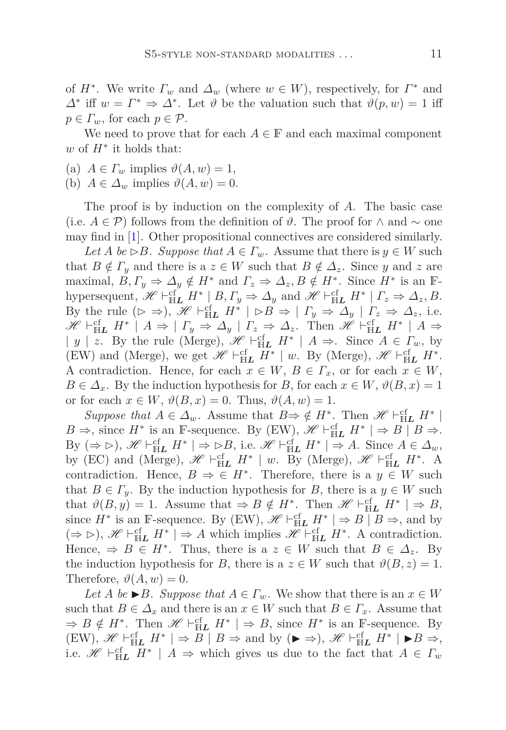of  $H^*$ . We write  $\Gamma_w$  and  $\Delta_w$  (where  $w \in W$ ), respectively, for  $\Gamma^*$  and  $Δ^*$  iff  $w = Γ^* ⇒ Δ^*$ . Let *θ* be the valuation such that  $\vartheta(p, w) = 1$  iff  $p \in \Gamma_w$ , for each  $p \in \mathcal{P}$ .

We need to prove that for each  $A \in \mathbb{F}$  and each maximal component *w* of *H*<sup>∗</sup> it holds that:

- (a)  $A \in \Gamma_w$  implies  $\vartheta(A, w) = 1$ ,
- (b)  $A \in \Delta_w$  implies  $\vartheta(A, w) = 0$ .

The proof is by induction on the complexity of *A*. The basic case (i.e.  $A \in \mathcal{P}$ ) follows from the definition of  $\vartheta$ . The proof for ∧ and ∼ one may find in [\[1](#page-24-2)]. Other propositional connectives are considered similarly.

 $Let A be \rhd B. Suppose that A \rhd \rhd T_w$ . Assume that there is  $y \in W$  such that  $B \notin \Gamma_y$  and there is a  $z \in W$  such that  $B \notin \Delta_z$ . Since *y* and *z* are maximal,  $B, \Gamma_y \Rightarrow \Delta_y \notin H^*$  and  $\Gamma_z \Rightarrow \Delta_z, B \notin H^*$ . Since  $H^*$  is an  $\mathbb{F}$ hypersequent,  $\mathscr{H} \vdash^{\text{cf}}_{\text{H}L} H^* \mid B, \Gamma_y \Rightarrow \Delta_y$  and  $\mathscr{H} \vdash^{\text{cf}}_{\text{H}L} H^* \mid \Gamma_z \Rightarrow \Delta_z, B$ . By the rule  $(\triangleright \Rightarrow)$ , H<sup>er</sup>  $\vdash$   $\mathbb{H}_L$   $H^*$  |  $\triangleright B \Rightarrow | \Gamma_y \Rightarrow \Delta_y | \Gamma_z \Rightarrow \Delta_z$ , i.e.  $\mathscr{H} \vdash_{\text{HL}}^{\text{cf}} H^* \mid A \Rightarrow \mid \Gamma_y \Rightarrow \Delta_y \mid \Gamma_z \Rightarrow \Delta_z$ . Then  $\mathscr{H} \vdash_{\text{HL}}^{\text{cf}} H^* \mid A \Rightarrow$ | *y* | *z*. By the rule (Merge),  $\mathcal{H} \vdash^{\text{cf}}_{\text{H}} H^*$  | *A* ⇒. Since *A* ∈  $\Gamma_w$ , by (EW) and (Merge), we get  $\mathscr{H} \vdash^{\text{cf}}_{\mathbb{H}L} H^* \mid w$ . By (Merge),  $\mathscr{H} \vdash^{\text{cf}}_{\mathbb{H}L} H^*$ . A contradiction. Hence, for each  $x \in W$ ,  $B \in \Gamma_x$ , or for each  $x \in W$ ,  $B \in \Delta_x$ . By the induction hypothesis for *B*, for each  $x \in W$ ,  $\vartheta(B, x) = 1$ or for each  $x \in W$ ,  $\vartheta(B, x) = 0$ . Thus,  $\vartheta(A, w) = 1$ .

*Suppose that*  $A \in \Delta_w$ . Assume that  $B \Rightarrow \notin H^*$ . Then  $\mathscr{H} \vdash_{\text{HL}}^{\text{cf}} H^*$  $B \Rightarrow$ , since  $H^*$  is an F-sequence. By (EW),  $\mathscr{H} \vdash^{\text{cf}}_{\text{H}} H^* \mid \Rightarrow B \mid B \Rightarrow$ . By  $(\Rightarrow \rhd), \mathscr{H} \vdash_{\text{HL}}^{\text{cf}} H^* \rhd \rhd \rhd B$ , i.e.  $\mathscr{H} \vdash_{\text{HL}}^{\text{cf}} H^* \rvert \Rightarrow A$ . Since  $A \in \Delta_w$ , by (EC) and (Merge),  $\mathscr{H} \vdash_{\mathbb{H}\mathbf{L}}^{\mathsf{cf}} H^* \mid w$ . By (Merge),  $\mathscr{H} \vdash_{\mathbb{H}\mathbf{L}}^{\mathsf{cf}} H^*$ . A contradiction. Hence,  $B \Rightarrow \in H^*$ . Therefore, there is a  $y \in W$  such that  $B \in \Gamma_y$ . By the induction hypothesis for *B*, there is a  $y \in W$  such that  $\vartheta(B, y) = 1$ . Assume that  $\Rightarrow B \notin H^*$ . Then  $\mathscr{H} \vdash^{\text{cf}}_{\text{H}} H^* \mid \Rightarrow B$ , since  $H^*$  is an F-sequence. By (EW),  $\mathscr{H} \vdash_{\text{HL}}^{\text{cf}} H^* \mid \Rightarrow B \mid B \Rightarrow$ , and by  $(\Rightarrow \rhd), \mathscr{H} \vdash^{\text{cf}}_{\text{H}L} H^* \rvert \Rightarrow A$  which implies  $\mathscr{H} \vdash^{\text{cf}}_{\text{H}L} H^*$ . A contradiction. Hence,  $\Rightarrow$  *B*  $\in$  *H*<sup>\*</sup>. Thus, there is a *z*  $\in$  *W* such that *B*  $\in \Delta_z$ . By the induction hypothesis for *B*, there is a  $z \in W$  such that  $\vartheta(B, z) = 1$ . Therefore,  $\vartheta(A, w) = 0$ .

*Let A be*  $\triangleright$  *B. Suppose that*  $A \in \Gamma_w$ *.* We show that there is an  $x \in W$ such that  $B \in \Delta_x$  and there is an  $x \in W$  such that  $B \in \Gamma_x$ . Assume that  $\Rightarrow B \notin H^*$ . Then  $\mathscr{H} \vdash_{\text{H}\mathbf{L}}^{\text{cf}} H^* \models B$ , since  $H^*$  is an F-sequence. By  $(EW)$ ,  $\mathscr{H} \vdash_{\text{HL}}^{\text{cf}} H^* \mid \Rightarrow B \mid B \Rightarrow \text{and by } (\blacktriangleright \Rightarrow)$ ,  $\mathscr{H} \vdash_{\text{HL}}^{\text{cf}} H^* \mid \blacktriangleright B \Rightarrow$ , i.e.  $\mathscr{H} \vdash^{\text{cf}}_{\mathbb{H}L} H^* \mid A \Rightarrow$  which gives us due to the fact that  $A \in \Gamma_w$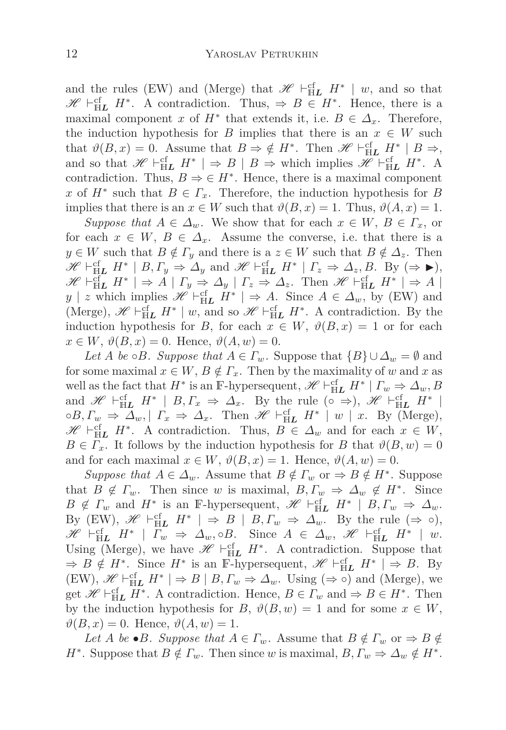and the rules (EW) and (Merge) that  $\mathscr{H} \vdash^{\text{cf}}_{\mathbb{H}L} H^* \mid w$ , and so that  $\mathscr{H} \vdash_{\text{HL}}^{\text{cf}} H^*$ . A contradiction. Thus,  $\Rightarrow B \in H^*$ . Hence, there is a maximal component *x* of  $H^*$  that extends it, i.e.  $B \in \Delta_x$ . Therefore, the induction hypothesis for *B* implies that there is an  $x \in W$  such that  $\vartheta(B, x) = 0$ . Assume that  $B \Rightarrow \notin H^*$ . Then  $\mathscr{H} \vdash_{\text{HL}}^{\text{cf}} H^* | B \Rightarrow$ , and so that  $\mathscr{H} \vdash_{\mathbb{H}\mathbf{L}}^{\mathsf{cf}} H^* \rvert \Rightarrow B \rvert B \Rightarrow$  which implies  $\mathscr{H} \vdash_{\mathbb{H}\mathbf{L}}^{\mathsf{cf}} H^*$ . A contradiction. Thus,  $B \Rightarrow \in H^*$ . Hence, there is a maximal component *x* of  $H^*$  such that  $B \in \Gamma_x$ . Therefore, the induction hypothesis for *B* implies that there is an  $x \in W$  such that  $\vartheta(B, x) = 1$ . Thus,  $\vartheta(A, x) = 1$ .

*Suppose that*  $A \in \Delta_w$ . We show that for each  $x \in W$ ,  $B \in \Gamma_x$ , or for each  $x \in W$ ,  $B \in \Delta_x$ . Assume the converse, i.e. that there is a  $y \in W$  such that  $B \notin \Gamma_y$  and there is a  $z \in W$  such that  $B \notin \Delta_z$ . Then  $\mathscr{H} \vdash_{\mathbb{H}\mathbf{L}}^{\mathsf{cf}} H^* \mid B, \Gamma_y \Rightarrow \Delta_y \text{ and } \mathscr{H} \vdash_{\mathbb{H}\mathbf{L}}^{\mathsf{cf}} H^* \mid \Gamma_z \Rightarrow \Delta_z, B. \text{ By } (\Rightarrow \blacktriangleright),$  $\mathscr{H} \vdash_{\mathbb{H}\mathbf{L}}^{\mathsf{cf}} H^* \mid \Rightarrow A \mid \Gamma_y \Rightarrow \Delta_y \mid \Gamma_z \Rightarrow \Delta_z$ . Then  $\mathscr{H} \vdash_{\mathbb{H}\mathbf{L}}^{\mathsf{cf}} H^* \mid \Rightarrow A \mid$ *y* | *z* which implies  $\mathscr{H} \vdash^{\text{cf}}_{\text{H}} H^*$  | ⇒ *A*. Since  $A \in \Delta_w$ , by (EW) and (Merge),  $\mathscr{H} \vdash_{\text{HL}}^{\text{cf}} H^* \mid w$ , and so  $\mathscr{H} \vdash_{\text{HL}}^{\text{cf}} H^*$ . A contradiction. By the induction hypothesis for *B*, for each  $x \in W$ ,  $\vartheta(B, x) = 1$  or for each  $x \in W$ ,  $\vartheta(B, x) = 0$ . Hence,  $\vartheta(A, w) = 0$ .

*Let A be*  $\circ$ *B. Suppose that*  $A \in \Gamma_w$ *.* Suppose that  $\{B\} \cup \Delta_w = \emptyset$  and for some maximal  $x \in W$ ,  $B \notin \Gamma_x$ . Then by the maximality of *w* and *x* as well as the fact that  $H^*$  is an F-hypersequent,  $\mathscr{H} \vdash^{\text{cf}}_{\mathbb{H}L} H^* \mid \Gamma_w \Rightarrow \Delta_w, B$ and  $\mathscr{H} \vdash^{\text{cf}}_{\mathbb{H}L} H^* \mid B, \Gamma_x \Rightarrow \Delta_x$ . By the rule (∘ ⇒),  $\mathscr{H} \vdash^{\text{cf}}_{\mathbb{H}L} H^* \mid$  $\circ B, \Gamma_w \Rightarrow \Delta_w, |\Gamma_x \Rightarrow \Delta_x$ . Then  $\mathscr{H} \vdash^{\text{cf}}_{\text{HL}} H^* | w | x$ . By (Merge),  $\mathscr{H} \vdash^{\text{cf}}_{\text{H}} H^*$ . A contradiction. Thus,  $B \in \Delta_w$  and for each  $x \in W$ ,  $B \in \Gamma_x$ . It follows by the induction hypothesis for *B* that  $\vartheta(B, w) = 0$ and for each maximal  $x \in W$ ,  $\vartheta(B, x) = 1$ . Hence,  $\vartheta(A, w) = 0$ .

*Suppose that*  $A \in \Delta_w$ . Assume that  $B \notin \Gamma_w$  or  $\Rightarrow B \notin H^*$ . Suppose that  $B \notin \Gamma_w$ . Then since *w* is maximal,  $B, \Gamma_w \Rightarrow \Delta_w \notin H^*$ . Since  $B \notin \Gamma_w$  and  $H^*$  is an F-hypersequent,  $\mathscr{H} \vdash_{\mathbb{H}}^{\mathsf{cf}} H^* \mid B, \Gamma_w \Rightarrow \Delta_w$ . By (EW),  $\mathscr{H} \vdash^{\text{cf}}_{\mathbb{H}L} H^* \mid \Rightarrow B \mid B, \Gamma_w \Rightarrow \Delta_w$ . By the rule ( $\Rightarrow \circ$ ),  $\mathscr{H} \vdash^{\text{cf}}_{\mathbb{H}L} H^* \mid \overline{\Gamma_w} \Rightarrow \Delta_w, \circ B.$  Since  $A \in \Delta_w$ ,  $\mathscr{H} \vdash^{\text{cf}}_{\mathbb{H}L} H^* \mid w.$ Using (Merge), we have  $\mathscr{H} \vdash^{\text{cf}}_{\mathbb{H}L} H^*$ . A contradiction. Suppose that  $\Rightarrow B \notin H^*$ . Since  $H^*$  is an F-hypersequent,  $\mathscr{H} \vdash_{\mathbb{H}\mathbf{L}}^{\mathsf{cf}} H^* \models B$ . By  $(EW)$ ,  $\mathscr{H} \vdash_{\text{HL}}^{\text{cf}} H^* \rvert \Rightarrow B \rvert B, \Gamma_w \Rightarrow \Delta_w$ . Using  $(\Rightarrow \circ)$  and (Merge), we get  $\mathscr{H} \vdash_{\text{HL}}^{\text{cf}} H^*$ . A contradiction. Hence,  $B \in \Gamma_w$  and  $\Rightarrow B \in H^*$ . Then by the induction hypothesis for *B*,  $\vartheta(B, w) = 1$  and for some  $x \in W$ ,  $\vartheta(B, x) = 0$ . Hence,  $\vartheta(A, w) = 1$ .

*Let A be* •*B. Suppose that*  $A \in \Gamma_w$ *.* Assume that  $B \notin \Gamma_w$  or  $\Rightarrow B \notin$ *H*<sup>\*</sup>. Suppose that  $B \notin \Gamma_w$ . Then since *w* is maximal,  $B, \Gamma_w \Rightarrow \Delta_w \notin H^*$ .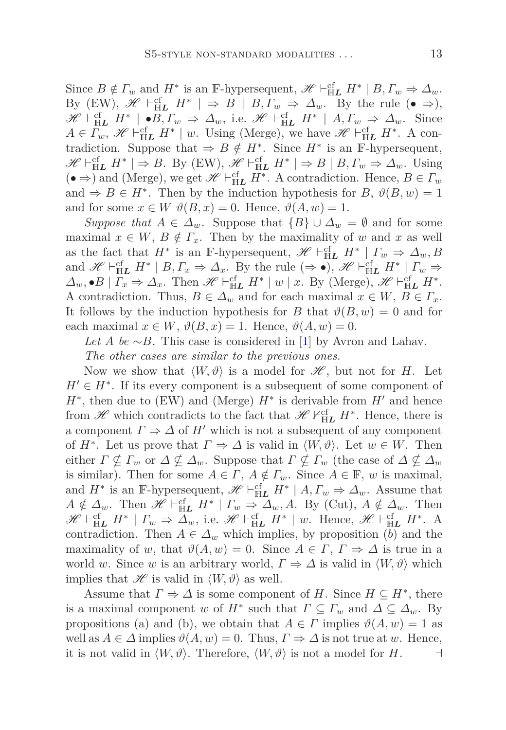Since  $B \notin \Gamma_w$  and  $H^*$  is an F-hypersequent,  $\mathscr{H} \vdash_{\mathbb{H}\mathbf{L}}^{\mathsf{cf}} H^* \mid B, \Gamma_w \Rightarrow \Delta_w$ . By (EW),  $\mathscr{H} \vdash^{\text{cf}}_{\mathbb{H}L} H^* \mid \Rightarrow B \mid B, \Gamma_w \Rightarrow \Delta_w$ . By the rule (• ⇒),  $\mathscr{H} \vdash_{\mathbb{H}\mathbf{L}}^{\mathsf{cf}} H^* \mid \bullet B, \Gamma_w \Rightarrow \Delta_w$ , i.e.  $\mathscr{H} \vdash_{\mathbb{H}\mathbf{L}}^{\mathsf{cf}} H^* \mid A, \Gamma_w \Rightarrow \Delta_w$ . Since  $A \in \Gamma_w$ ,  $\mathscr{H} \vdash_{\mathbb{H}\mathbf{L}}^{\mathsf{cf}} H^* \mid w$ . Using (Merge), we have  $\mathscr{H} \vdash_{\mathbb{H}\mathbf{L}}^{\mathsf{cf}} H^*$ . A contradiction. Suppose that  $\Rightarrow B \notin H^*$ . Since  $H^*$  is an F-hypersequent,  $\mathscr{H} \vdash_{\mathbb{H}\mathbf{L}}^{\mathsf{cf}} H^* \mid \Rightarrow B$ . By (EW),  $\mathscr{H} \vdash_{\mathbb{H}\mathbf{L}}^{\mathsf{cf}} H^* \mid \Rightarrow B \mid B, \Gamma_w \Rightarrow \Delta_w$ . Using  $($  **●**  $\Rightarrow$   $)$  and (Merge), we get  $\mathcal{H} \vdash_{\mathbb{H}\mathbf{L}}^{\mathsf{cf}} H^*$ . A contradiction. Hence,  $B \in \Gamma_w$ and  $\Rightarrow$  *B*  $\in$  *H*<sup>\*</sup>. Then by the induction hypothesis for *B*,  $\vartheta(B, w) = 1$ and for some  $x \in W$   $\vartheta(B, x) = 0$ . Hence,  $\vartheta(A, w) = 1$ .

*Suppose that*  $A \in \Delta_w$ . Suppose that  ${B} \cup \Delta_w = \emptyset$  and for some maximal  $x \in W$ ,  $B \notin \Gamma_x$ . Then by the maximality of *w* and *x* as well as the fact that  $H^*$  is an F-hypersequent,  $\mathscr{H} \vdash_{\text{HL}}^{\text{cf}} H^* | I_w \Rightarrow \Delta_w, B$ and  $\mathscr{H} \vdash_{\mathbb{H}\mathbf{L}}^{\mathsf{cf}} H^* \mid B, \Gamma_x \Rightarrow \Delta_x$ . By the rule  $(\Rightarrow \bullet), \mathscr{H} \vdash_{\mathbb{H}\mathbf{L}}^{\mathsf{cf}} H^* \mid \Gamma_w \Rightarrow$  $\Delta_w$ ,  $\bullet$  *B* |  $\Gamma_x \Rightarrow \Delta_x$ . Then  $\mathscr{H} \vdash_{\text{HL}}^{\text{cf}} H^* \mid w \mid x$ . By (Merge),  $\mathscr{H} \vdash_{\text{HL}}^{\text{cf}} H^*$ . A contradiction. Thus,  $B \in \Delta_w$  and for each maximal  $x \in W$ ,  $B \in \Gamma_x$ . It follows by the induction hypothesis for *B* that  $\vartheta(B, w) = 0$  and for each maximal  $x \in W$ ,  $\vartheta(B, x) = 1$ . Hence,  $\vartheta(A, w) = 0$ .

*Let A be* ∼*B.* This case is considered in [\[1](#page-24-2)] by Avron and Lahav. *The other cases are similar to the previous ones.*

Now we show that  $\langle W, \vartheta \rangle$  is a model for  $\mathscr{H}$ , but not for *H*. Let  $H' \in H^*$ . If its every component is a subsequent of some component of *H*<sup>∗</sup>, then due to (EW) and (Merge) *H*<sup>∗</sup> is derivable from *H'* and hence from  $\mathscr{H}$  which contradicts to the fact that  $\mathscr{H} \nvdash^{\text{cf}}_{\text{H}} H^*$ . Hence, there is a component  $\Gamma \Rightarrow \Delta$  of *H'* which is not a subsequent of any component of  $H^*$ . Let us prove that  $\Gamma \Rightarrow \Delta$  is valid in  $\langle W, \vartheta \rangle$ . Let  $w \in W$ . Then either  $\Gamma \nsubseteq \Gamma_w$  or  $\Delta \nsubseteq \Delta_w$ . Suppose that  $\Gamma \nsubseteq \Gamma_w$  (the case of  $\Delta \nsubseteq \Delta_w$ ) is similar). Then for some  $A \in \Gamma$ ,  $A \notin \Gamma_w$ . Since  $A \in \mathbb{F}$ , *w* is maximal, and  $H^*$  is an F-hypersequent,  $\mathscr{H} \vdash^{\text{cf}}_{\mathbb{H}L} H^* \mid A, \Gamma_w \Rightarrow \Delta_w$ . Assume that  $A \notin \Delta_w$ . Then  $\mathscr{H} \vdash^{\text{cf}}_{\mathbb{H}} H^* \mid \Gamma_w \Rightarrow \Delta_w, A$ . By (Cut),  $A \notin \Delta_w$ . Then  $\mathscr{H} \vdash_{\mathbb{H}\mathbf{L}}^{\mathsf{cf}} H^* \mid \Gamma_w \Rightarrow \overline{\Delta}_w$ , i.e.  $\mathscr{H} \vdash_{\mathbb{H}\mathbf{L}}^{\mathsf{cf}} H^* \mid w$ . Hence,  $\mathscr{H} \vdash_{\mathbb{H}\mathbf{L}}^{\mathsf{cf}} H^*$ . A contradiction. Then  $A \in \Delta_w$  which implies, by proposition (*b*) and the maximality of *w*, that  $\vartheta(A, w) = 0$ . Since  $A \in \Gamma$ ,  $\Gamma \Rightarrow \Delta$  is true in a world *w*. Since *w* is an arbitrary world,  $\Gamma \Rightarrow \Delta$  is valid in  $\langle W, \vartheta \rangle$  which implies that  $\mathscr H$  is valid in  $\langle W, \vartheta \rangle$  as well.

Assume that  $\Gamma \Rightarrow \Delta$  is some component of *H*. Since  $H \subseteq H^*$ , there is a maximal component *w* of  $H^*$  such that  $\Gamma \subseteq \Gamma_w$  and  $\Delta \subseteq \Delta_w$ . By propositions (a) and (b), we obtain that  $A \in \Gamma$  implies  $\vartheta(A, w) = 1$  as well as  $A \in \Delta$  implies  $\vartheta(A, w) = 0$ . Thus,  $\Gamma \Rightarrow \Delta$  is not true at w. Hence, it is not valid in  $\langle W, \vartheta \rangle$ . Therefore,  $\langle W, \vartheta \rangle$  is not a model for *H*. ⊣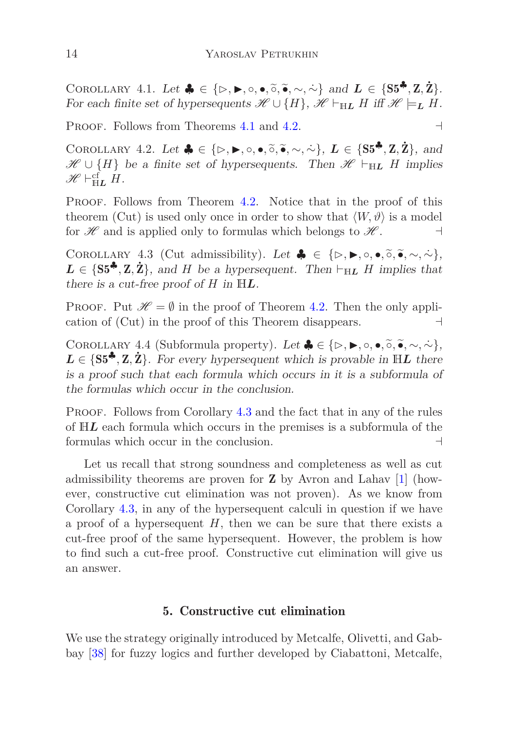COROLLARY 4.1. Let  $\clubsuit \in \{\triangleright, \blacktriangleright, \circ, \bullet, \widetilde{\circ}, \widetilde{\bullet}, \sim, \widetilde{\sim}\}\$ and  $L \in \{S5^{\clubsuit}, Z, Z\}$ . For each finite set of hypersequents  $\mathscr{H} \cup \{H\}$ ,  $\mathscr{H} \vdash_{\mathbb{H}\mathbf{L}} H$  iff  $\mathscr{H} \models_{\mathbf{L}} H$ .

PROOF. Follows from Theorems [4.1](#page-8-2) and [4.2.](#page-9-0) ⊣

COROLLARY 4.2. Let  $\clubsuit \in \{\triangleright, \triangleright, \circ, \bullet, \tilde{\circ}, \tilde{\bullet}, \sim, \sim\}, L \in \{S5^{\clubsuit}, Z, Z\}$ , and  $\mathscr{H} \cup \{H\}$  be a finite set of hypersequents. Then  $\mathscr{H} \vdash_{H\mathbf{L}} H$  implies  $\mathscr{H} \vdash_{\mathbb{H}\mathbf{L}}^{\mathrm{cf}} H$ .

PROOF. Follows from Theorem [4.2.](#page-9-0) Notice that in the proof of this theorem (Cut) is used only once in order to show that  $\langle W, \vartheta \rangle$  is a model for  $\mathscr H$  and is applied only to formulas which belongs to  $\mathscr H$ .  $\vdash$ 

<span id="page-13-1"></span>COROLLARY 4.3 (Cut admissibility). Let  $\clubsuit \in \{\triangleright, \blacktriangleright, \circ, \bullet, \tilde{\circ}, \tilde{\bullet}, \sim, \sim\},$  $L \in \{S5^{\clubsuit}, Z, Z\}$ , and *H* be a hypersequent. Then ⊢<sub>H*L</sub> H* implies that</sub> there is a cut-free proof of  $H$  in  $\mathbb{H}L$ .

PROOF. Put  $\mathcal{H} = \emptyset$  in the proof of Theorem [4.2.](#page-9-0) Then the only application of (Cut) in the proof of this Theorem disappears. ⊣

COROLLARY 4.4 (Subformula property). Let  $\clubsuit \in \{\triangleright, \blacktriangleright, \circ, \bullet, \tilde{\circ}, \tilde{\bullet}, \sim, \sim\}$  $L \in \{S5^{\clubsuit}, Z, Z\}$ . For every hypersequent which is provable in HL there is a proof such that each formula which occurs in it is a subformula of the formulas which occur in the conclusion.

PROOF. Follows from Corollary [4.3](#page-13-1) and the fact that in any of the rules of H*L* each formula which occurs in the premises is a subformula of the formulas which occur in the conclusion. ⊣

Let us recall that strong soundness and completeness as well as cut admissibility theorems are proven for  $\mathbf Z$  by Avron and Lahav [\[1](#page-24-2)] (however, constructive cut elimination was not proven). As we know from Corollary [4.3,](#page-13-1) in any of the hypersequent calculi in question if we have a proof of a hypersequent *H*, then we can be sure that there exists a cut-free proof of the same hypersequent. However, the problem is how to find such a cut-free proof. Constructive cut elimination will give us an answer.

### 5. Constructive cut elimination

<span id="page-13-0"></span>We use the strategy originally introduced by Metcalfe, Olivetti, and Gabbay [\[38\]](#page-27-9) for fuzzy logics and further developed by Ciabattoni, Metcalfe,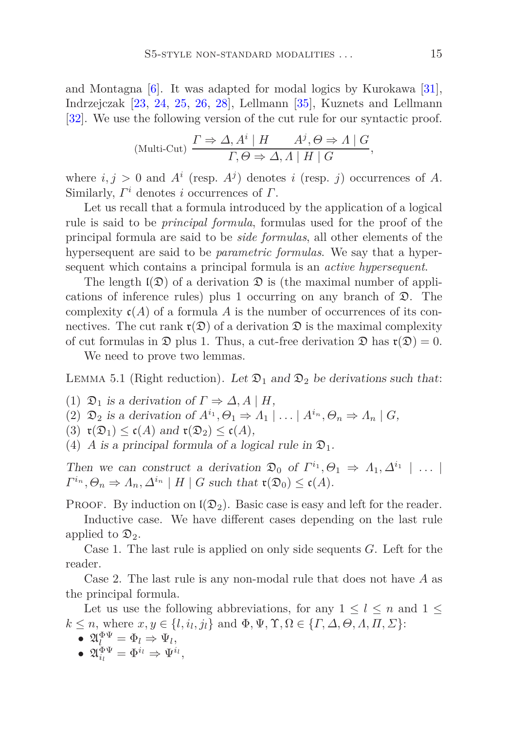and Montagna [\[6\]](#page-25-10). It was adapted for modal logics by Kurokawa [\[31\]](#page-27-6), Indrzejczak [\[23](#page-26-10), [24](#page-26-11), [25](#page-26-12), [26](#page-26-13), [28](#page-26-7)], Lellmann [\[35\]](#page-27-10), Kuznets and Lellmann [\[32\]](#page-27-11). We use the following version of the cut rule for our syntactic proof.

(Multi-Cut) 
$$
\frac{\Gamma \Rightarrow \Delta, A^i \mid H \qquad A^j, \Theta \Rightarrow A \mid G}{\Gamma, \Theta \Rightarrow \Delta, A \mid H \mid G},
$$

where  $i, j > 0$  and  $A^i$  (resp.  $A^j$ ) denotes *i* (resp. *j*) occurrences of *A*. Similarly, *Γ <sup>i</sup>* denotes *i* occurrences of *Γ*.

Let us recall that a formula introduced by the application of a logical rule is said to be *principal formula*, formulas used for the proof of the principal formula are said to be *side formulas*, all other elements of the hypersequent are said to be *parametric formulas*. We say that a hypersequent which contains a principal formula is an *active hypersequent*.

The length  $\mathfrak{l}(\mathfrak{D})$  of a derivation  $\mathfrak{D}$  is (the maximal number of applications of inference rules) plus 1 occurring on any branch of D. The complexity  $c(A)$  of a formula A is the number of occurrences of its connectives. The cut rank  $\mathfrak{r}(\mathfrak{D})$  of a derivation  $\mathfrak{D}$  is the maximal complexity of cut formulas in  $\mathfrak D$  plus 1. Thus, a cut-free derivation  $\mathfrak D$  has  $\mathfrak r(\mathfrak D)=0$ .

<span id="page-14-0"></span>We need to prove two lemmas.

LEMMA 5.1 (Right reduction). Let  $\mathfrak{D}_1$  and  $\mathfrak{D}_2$  be derivations such that:

- (1)  $\mathfrak{D}_1$  is a derivation of  $\Gamma \Rightarrow \Delta, A \mid H$ ,
- (2)  $\mathfrak{D}_2$  is a derivation of  $A^{i_1}, \Theta_1 \Rightarrow A_1 \mid \ldots \mid A^{i_n}, \Theta_n \Rightarrow A_n \mid G$ ,
- (3)  $\mathfrak{r}(\mathfrak{D}_1) \leq \mathfrak{c}(A)$  and  $\mathfrak{r}(\mathfrak{D}_2) \leq \mathfrak{c}(A)$ ,
- (4) *A* is a principal formula of a logical rule in  $\mathfrak{D}_1$ .

Then we can construct a derivation  $\mathfrak{D}_0$  of  $\Gamma^{i_1}, \Theta_1 \Rightarrow \Lambda_1, \Delta^{i_1} \mid \ldots$  $\Gamma^{i_n}, \Theta_n \Rightarrow \Lambda_n, \Delta^{i_n} \mid H \mid G$  such that  $\mathfrak{r}(\mathfrak{D}_0) \leq \mathfrak{c}(A)$ .

**PROOF.** By induction on  $\mathfrak{l}(\mathfrak{D}_2)$ . Basic case is easy and left for the reader.

Inductive case. We have different cases depending on the last rule applied to  $\mathfrak{D}_2$ .

Case 1. The last rule is applied on only side sequents *G*. Left for the reader.

Case 2. The last rule is any non-modal rule that does not have *A* as the principal formula.

Let us use the following abbreviations, for any  $1 \leq l \leq n$  and  $1 \leq$  $k \leq n$ , where  $x, y \in \{l, i_l, j_l\}$  and  $\Phi, \Psi, \Upsilon, \Omega \in \{I, \Delta, \Theta, \Lambda, \Pi, \Sigma\}$ :

- $\bullet$   $\mathfrak{A}^{\Phi\Psi}_{l} = \Phi_{l} \Rightarrow \Psi_{l},$
- $\bullet \ \ \mathfrak A_{i_l}^{\Phi\Psi}=\Phi^{i_l}\Rightarrow \Psi^{i_l},$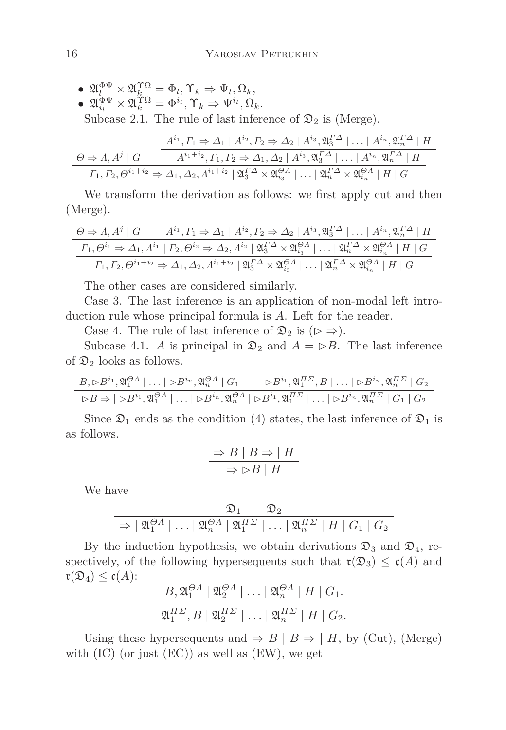$\bullet \ \mathfrak{A}^{\Phi\Psi}_l \times \mathfrak{A}^{\Upsilon\Omega}_{k} = \Phi_l, \Upsilon_k \Rightarrow \Psi_l, \Omega_k,$  $\bullet \ \mathfrak{A}^{\Phi \Psi}_{i_l} \times \mathfrak{A}^{\Upsilon \Omega}_{k} = \Phi^{i_l}, \Upsilon_k \Rightarrow \Psi^{i_l}, \Omega_k.$ Subcase 2.1. The rule of last inference of  $\mathfrak{D}_2$  is (Merge).

$$
\frac{A^{i_1}, \Gamma_1 \Rightarrow \Delta_1 \mid A^{i_2}, \Gamma_2 \Rightarrow \Delta_2 \mid A^{i_3}, \mathfrak{A}_3^{\Gamma \Delta} \mid \dots \mid A^{i_n}, \mathfrak{A}_n^{\Gamma \Delta} \mid H}{A^{i_1+i_2}, \Gamma_1, \Gamma_2 \Rightarrow \Delta_1, \Delta_2 \mid A^{i_3}, \mathfrak{A}_3^{\Gamma \Delta} \mid \dots \mid A^{i_n}, \mathfrak{A}_n^{\Gamma \Delta} \mid H}
$$

$$
\Gamma_1, \Gamma_2, \Theta^{i_1+i_2} \Rightarrow \Delta_1, \Delta_2, \Lambda^{i_1+i_2} \mid \mathfrak{A}_3^{\Gamma \Delta} \times \mathfrak{A}_{i_3}^{\Theta \Delta} \mid \dots \mid \mathfrak{A}_n^{\Gamma \Delta} \times \mathfrak{A}_{i_n}^{\Theta \Delta} \mid H \mid G
$$

We transform the derivation as follows: we first apply cut and then (Merge).

$$
\frac{\Theta \Rightarrow \Lambda, A^j \mid G \qquad A^{i_1}, \Gamma_1 \Rightarrow \Delta_1 \mid A^{i_2}, \Gamma_2 \Rightarrow \Delta_2 \mid A^{i_3}, \mathfrak{A}_3^{\Gamma \Delta} \mid \dots \mid A^{i_n}, \mathfrak{A}_n^{\Gamma \Delta} \mid H}{\Gamma_1, \Theta^{i_1} \Rightarrow \Delta_1, A^{i_1} \mid \Gamma_2, \Theta^{i_2} \Rightarrow \Delta_2, A^{i_2} \mid \mathfrak{A}_3^{\Gamma \Delta} \times \mathfrak{A}_{i_3}^{\Theta A} \mid \dots \mid \mathfrak{A}_n^{\Gamma \Delta} \times \mathfrak{A}_{i_n}^{\Theta A} \mid H \mid G}{\Gamma_1, \Gamma_2, \Theta^{i_1 + i_2} \Rightarrow \Delta_1, \Delta_2, A^{i_1 + i_2} \mid \mathfrak{A}_3^{\Gamma \Delta} \times \mathfrak{A}_{i_3}^{\Theta A} \mid \dots \mid \mathfrak{A}_n^{\Gamma \Delta} \times \mathfrak{A}_{i_n}^{\Theta A} \mid H \mid G}
$$

The other cases are considered similarly.

Case 3. The last inference is an application of non-modal left introduction rule whose principal formula is *A*. Left for the reader.

Case 4. The rule of last inference of  $\mathfrak{D}_2$  is ( $\rhd \Rightarrow$ ).

Subcase 4.1. *A* is principal in  $\mathfrak{D}_2$  and  $A = \triangleright B$ . The last inference of  $\mathfrak{D}_2$  looks as follows.

$$
\frac{B_{\gamma} \rhd B^{i_1}, \mathfrak{A}_1^{\Theta A} \rvert \dots \rvert \rhd B^{i_n}, \mathfrak{A}_n^{\Theta A} \rvert G_1 \qquad \rhd B^{i_1}, \mathfrak{A}_1^{\Pi \Sigma}, B \rvert \dots \rvert \rhd B^{i_n}, \mathfrak{A}_n^{\Pi \Sigma} \rvert G_2}{\rhd B \Rightarrow \rvert \rhd B^{i_1}, \mathfrak{A}_1^{\Theta A} \rvert \dots \rvert \rhd B^{i_n}, \mathfrak{A}_n^{\Theta A} \rvert \rhd B^{i_1}, \mathfrak{A}_1^{\Pi \Sigma} \rvert \dots \rvert \rhd B^{i_n}, \mathfrak{A}_n^{\Pi \Sigma} \rvert G_1 \rvert G_2}
$$

Since  $\mathfrak{D}_1$  ends as the condition (4) states, the last inference of  $\mathfrak{D}_1$  is as follows.

$$
\Rightarrow B \mid B \Rightarrow \mid H
$$

$$
\Rightarrow \rhd B \mid H
$$

We have

$$
\frac{\mathfrak{D}_1}{\Rightarrow |\mathfrak{A}_1^{\Theta A}| \dots |\mathfrak{A}_n^{\Theta A}| \mathfrak{A}_1^{H\Sigma}| \dots |\mathfrak{A}_n^{H\Sigma}| H | G_1 | G_2}
$$

By the induction hypothesis, we obtain derivations  $\mathfrak{D}_3$  and  $\mathfrak{D}_4$ , respectively, of the following hypersequents such that  $\mathfrak{r}(\mathfrak{D}_3) \leq \mathfrak{c}(A)$  and  $\mathfrak{r}(\mathfrak{D}_4) \leq \mathfrak{c}(A)$ :

$$
B, \mathfrak{A}_1^{\Theta A} \mid \mathfrak{A}_2^{\Theta A} \mid \dots \mid \mathfrak{A}_n^{\Theta A} \mid H \mid G_1.
$$
  

$$
\mathfrak{A}_1^{H\Sigma}, B \mid \mathfrak{A}_2^{H\Sigma} \mid \dots \mid \mathfrak{A}_n^{H\Sigma} \mid H \mid G_2.
$$

Using these hypersequents and  $\Rightarrow$  *B* | *B*  $\Rightarrow$  | *H*, by (Cut), (Merge) with  $(IC)$  (or just  $(EC)$ ) as well as  $(EW)$ , we get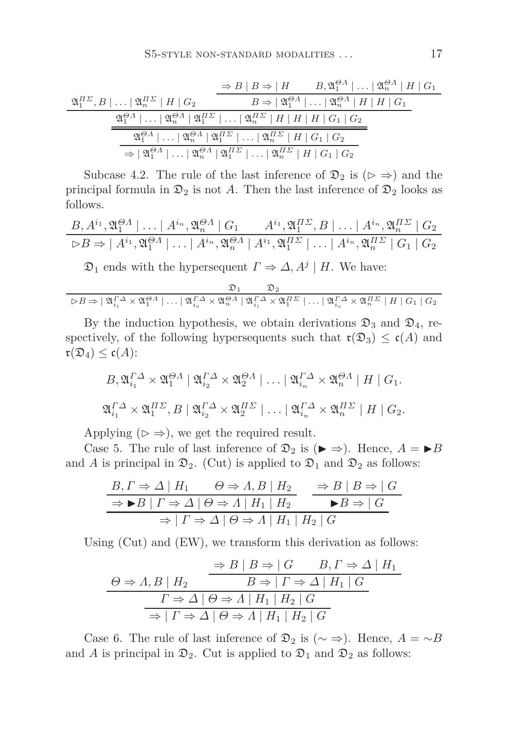$$
\frac{\mathfrak{A}_{1}^{H\Sigma},B|\dots|\mathfrak{A}_{n}^{H\Sigma}\mid H\mid G_{2}}{\mathfrak{A}_{1}^{H\Sigma}\mid H\mid G_{2}} \qquad \frac{\Rightarrow B\mid B\Rightarrow\mid H\qquad B,\mathfrak{A}_{1}^{\Theta A}\mid \dots|\mathfrak{A}_{n}^{\Theta A}\mid H\mid G_{1}}{B\Rightarrow|\mathfrak{A}_{1}^{\Theta A}|\dots|\mathfrak{A}_{n}^{\Theta A}\mid H\mid H\mid G_{1}}\n\frac{\mathfrak{A}_{1}^{\Theta A}|\dots|\mathfrak{A}_{n}^{\Theta A}\mid\mathfrak{A}_{1}^{H\Sigma}\mid \dots|\mathfrak{A}_{n}^{H\Sigma}\mid H\mid H\mid H\mid G_{1}\mid G_{2}}{\mathfrak{A}_{1}^{\Theta A}|\dots|\mathfrak{A}_{n}^{\Theta A}\mid\mathfrak{A}_{1}^{H\Sigma}\mid \dots|\mathfrak{A}_{n}^{H\Sigma}\mid H\mid G_{1}\mid G_{2}}\n\Rightarrow|\mathfrak{A}_{1}^{\Theta A}|\dots|\mathfrak{A}_{n}^{\Theta A}\mid\mathfrak{A}_{1}^{H\Sigma}\mid \dots|\mathfrak{A}_{n}^{H\Sigma}\mid H\mid G_{1}\mid G_{2}
$$

Subcase 4.2. The rule of the last inference of  $\mathfrak{D}_2$  is  $(\triangleright \Rightarrow)$  and the principal formula in  $\mathfrak{D}_2$  is not A. Then the last inference of  $\mathfrak{D}_2$  looks as follows.

$$
\frac{B, A^{i_1}, \mathfrak{A}_1^{\Theta A} | \dots | A^{i_n}, \mathfrak{A}_n^{\Theta A} | G_1 \qquad A^{i_1}, \mathfrak{A}_1^{I \Sigma}, B | \dots | A^{i_n}, \mathfrak{A}_n^{I \Sigma} | G_2
$$
  
\n
$$
\triangleright B \Rightarrow | A^{i_1}, \mathfrak{A}_1^{\Theta A} | \dots | A^{i_n}, \mathfrak{A}_n^{\Theta A} | A^{i_1}, \mathfrak{A}_1^{I \Sigma} | \dots | A^{i_n}, \mathfrak{A}_n^{I \Sigma} | G_1 | G_2
$$

 $\mathfrak{D}_1$  ends with the hypersequent  $\Gamma \Rightarrow \Delta, A^j \mid H$ . We have:

$$
\mathfrak{D}_1 \qquad \mathfrak{D}_2 \\ \triangleright B \Rightarrow |\ \mathfrak{A}_{i_1}^{\varGamma \Delta} \times \mathfrak{A}_1^{\Theta A} | \dots | \ \mathfrak{A}_{i_n}^{\varGamma \Delta} \times \mathfrak{A}_n^{\Theta A} | \ \mathfrak{A}_{i_1}^{\varGamma \Delta} \times \mathfrak{A}_1^{\varPi \varSigma} | \dots | \ \mathfrak{A}_{i_n}^{\varGamma \Delta} \times \mathfrak{A}_n^{\varPi \varSigma} | \ H \ | \ G_1 \ | \ G_2
$$

By the induction hypothesis, we obtain derivations  $\mathfrak{D}_3$  and  $\mathfrak{D}_4$ , respectively, of the following hypersequents such that  $\mathfrak{r}(\mathfrak{D}_3) \leq \mathfrak{c}(A)$  and  $\mathfrak{r}(\mathfrak{D}_4) \leq \mathfrak{c}(A)$ :

$$
B_{\gamma} \mathfrak{A}_{i_1}^{\Gamma \Delta} \times \mathfrak{A}_1^{\Theta \Lambda} \mid \mathfrak{A}_{i_2}^{\Gamma \Delta} \times \mathfrak{A}_2^{\Theta \Lambda} \mid \dots \mid \mathfrak{A}_{i_n}^{\Gamma \Delta} \times \mathfrak{A}_n^{\Theta \Lambda} \mid H \mid G_1.
$$
  

$$
\mathfrak{A}_{i_1}^{\Gamma \Delta} \times \mathfrak{A}_1^{\Pi \Sigma}, B \mid \mathfrak{A}_{i_2}^{\Gamma \Delta} \times \mathfrak{A}_2^{\Pi \Sigma} \mid \dots \mid \mathfrak{A}_{i_n}^{\Gamma \Delta} \times \mathfrak{A}_n^{\Pi \Sigma} \mid H \mid G_2.
$$

Applying ( $\triangleright \Rightarrow$ ), we get the required result.

Case 5. The rule of last inference of  $\mathfrak{D}_2$  is ( $\blacktriangleright \Rightarrow$ ). Hence,  $A = \blacktriangleright B$ and *A* is principal in  $\mathfrak{D}_2$ . (Cut) is applied to  $\mathfrak{D}_1$  and  $\mathfrak{D}_2$  as follows:

$$
\frac{B, \Gamma \Rightarrow \Delta \mid H_1 \qquad \Theta \Rightarrow \Lambda, B \mid H_2}{B \Rightarrow B \mid \Gamma \Rightarrow \Delta \mid \Theta \Rightarrow \Lambda \mid H_1 \mid H_2} \qquad \frac{\Rightarrow B \mid B \Rightarrow \mid G}{B \Rightarrow \mid G}
$$
\n
$$
\Rightarrow \Gamma \Rightarrow \Delta \mid \Theta \Rightarrow \Lambda \mid H_1 \mid H_2 \mid G
$$

Using (Cut) and (EW), we transform this derivation as follows:

$$
\frac{\Rightarrow B \mid B \Rightarrow \mid G \quad B, \Gamma \Rightarrow \Delta \mid H_1}{B \Rightarrow \mid \Gamma \Rightarrow \Delta \mid H_1 \mid G}
$$
\n
$$
\frac{\Gamma \Rightarrow \Delta \mid \Theta \Rightarrow \Lambda \mid H_1 \mid H_2 \mid G}{\Rightarrow \mid \Gamma \Rightarrow \Delta \mid \Theta \Rightarrow \Lambda \mid H_1 \mid H_2 \mid G}
$$

Case 6. The rule of last inference of  $\mathfrak{D}_2$  is ( $\sim \Rightarrow$ ). Hence,  $A = \sim B$ and *A* is principal in  $\mathfrak{D}_2$ . Cut is applied to  $\mathfrak{D}_1$  and  $\mathfrak{D}_2$  as follows: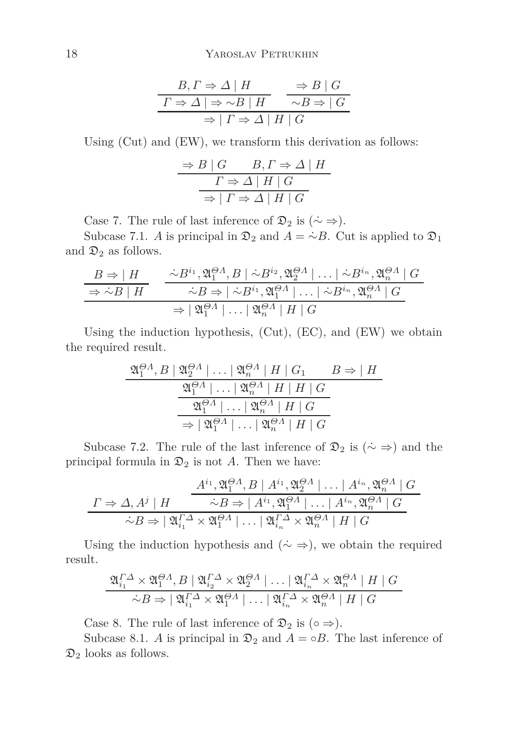$$
\frac{B, \Gamma \Rightarrow \Delta \mid H}{\Gamma \Rightarrow \Delta \mid \Rightarrow \sim B \mid H} \xrightarrow{\Rightarrow B \mid G} \frac{B \mid G}{\sim B \Rightarrow \mid G}
$$

$$
\Rightarrow \mid \Gamma \Rightarrow \Delta \mid H \mid G
$$

Using (Cut) and (EW), we transform this derivation as follows:

$$
\frac{\Rightarrow B \mid G \qquad B, \Gamma \Rightarrow \Delta \mid H}{\Gamma \Rightarrow \Delta \mid H \mid G}
$$

$$
\Rightarrow \mid \Gamma \Rightarrow \Delta \mid H \mid G
$$

Case 7. The rule of last inference of  $\mathfrak{D}_2$  is  $(\dot{\sim} \Rightarrow)$ .

Subcase 7.1. *A* is principal in  $\mathfrak{D}_2$  and  $A = \dot{\sim} B$ . Cut is applied to  $\mathfrak{D}_1$ and  $\mathfrak{D}_2$  as follows.

$$
\frac{B \Rightarrow |H}{\Rightarrow \sim B | H} \quad \frac{\sim B^{i_1}, \mathfrak{A}_1^{\Theta A}, B | \sim B^{i_2}, \mathfrak{A}_2^{\Theta A} | \dots | \sim B^{i_n}, \mathfrak{A}_n^{\Theta A} | G}{\sim B \Rightarrow |\sim B^{i_1}, \mathfrak{A}_1^{\Theta A} | \dots | \sim B^{i_n}, \mathfrak{A}_n^{\Theta A} | G}
$$
\n
$$
\Rightarrow |\mathfrak{A}_1^{\Theta A} | \dots | \mathfrak{A}_n^{\Theta A} | H | G
$$

Using the induction hypothesis, (Cut), (EC), and (EW) we obtain the required result.

$$
\frac{\mathfrak{A}_1^{\Theta A}, B \mid \mathfrak{A}_2^{\Theta A} \mid \dots \mid \mathfrak{A}_n^{\Theta A} \mid H \mid G_1 \qquad B \Rightarrow \mid H}{\mathfrak{A}_1^{\Theta A} \mid \dots \mid \mathfrak{A}_n^{\Theta A} \mid H \mid H \mid G}
$$
\n
$$
\frac{\mathfrak{A}_1^{\Theta A} \mid \dots \mid \mathfrak{A}_n^{\Theta A} \mid H \mid G}{\Rightarrow \mid \mathfrak{A}_1^{\Theta A} \mid \dots \mid \mathfrak{A}_n^{\Theta A} \mid H \mid G}
$$

Subcase 7.2. The rule of the last inference of  $\mathfrak{D}_2$  is  $(\dot{\sim} \Rightarrow)$  and the principal formula in  $\mathfrak{D}_2$  is not A. Then we have:

$$
\frac{A^{i_1}, \mathfrak{A}^{0A}_{1}, B \mid A^{i_1}, \mathfrak{A}^{0A}_{2} \mid \dots \mid A^{i_n}, \mathfrak{A}^{0A}_{n} \mid G}{\sim B \Rightarrow |\mathfrak{A}^{i_1}, \mathfrak{A}^{0A}_{1} \mid \dots \mid A^{i_n}, \mathfrak{A}^{0A}_{n} \mid G}
$$

$$
\sim B \Rightarrow |\mathfrak{A}^{I\Delta}_{i_1} \times \mathfrak{A}^{0A}_{1} \mid \dots \mid \mathfrak{A}^{I\Delta}_{i_n} \times \mathfrak{A}^{0A}_{n} \mid H \mid G
$$

Using the induction hypothesis and  $(\sim \Rightarrow)$ , we obtain the required result.

$$
\frac{\mathfrak{A}_{i_1}^{\Gamma \Delta} \times \mathfrak{A}_1^{\Theta \Lambda}, B \mid \mathfrak{A}_{i_2}^{\Gamma \Delta} \times \mathfrak{A}_2^{\Theta \Lambda} \mid \dots \mid \mathfrak{A}_{i_n}^{\Gamma \Delta} \times \mathfrak{A}_n^{\Theta \Lambda} \mid H \mid G}{\sim B \Rightarrow |\mathfrak{A}_{i_1}^{\Gamma \Delta} \times \mathfrak{A}_1^{\Theta \Lambda} \mid \dots \mid \mathfrak{A}_{i_n}^{\Gamma \Delta} \times \mathfrak{A}_n^{\Theta \Lambda} \mid H \mid G}
$$

Case 8. The rule of last inference of  $\mathfrak{D}_2$  is (∘  $\Rightarrow$ ).

Subcase 8.1. *A* is principal in  $\mathfrak{D}_2$  and  $A = \circ B$ . The last inference of  $\mathfrak{D}_2$  looks as follows.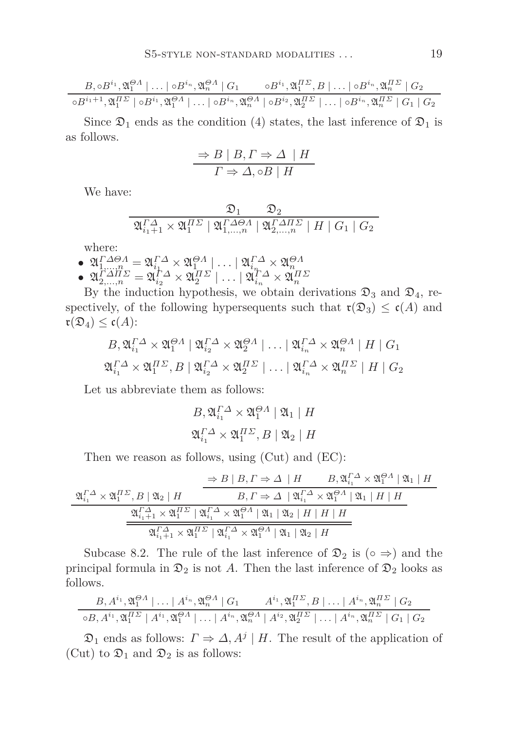$$
\frac{B,\circ B^{i_1},\mathfrak{A}_1^{QA} \mid \ldots \mid \circ B^{i_n},\mathfrak{A}_n^{QA} \mid G_1 \qquad \circ B^{i_1},\mathfrak{A}_1^{H\varSigma},B \mid \ldots \mid \circ B^{i_n},\mathfrak{A}_n^{H\varSigma} \mid G_2}{\circ B^{i_1+1},\mathfrak{A}_1^{H\varSigma} \mid \circ B^{i_1},\mathfrak{A}_1^{QA} \mid \ldots \mid \circ B^{i_n},\mathfrak{A}_n^{QA} \mid \circ B^{i_2},\mathfrak{A}_2^{H\varSigma} \mid \ldots \mid \circ B^{i_n},\mathfrak{A}_n^{H\varSigma} \mid G_1 \mid G_2}
$$

Since  $\mathfrak{D}_1$  ends as the condition (4) states, the last inference of  $\mathfrak{D}_1$  is as follows.

$$
\Rightarrow B \mid B, \Gamma \Rightarrow \Delta \mid H
$$

$$
\Gamma \Rightarrow \Delta, \circ B \mid H
$$

We have:

$$
\frac{\mathfrak{D}_1}{\mathfrak{A}_{i_1+1}^{\varGamma\varDelta}\times\mathfrak{A}_1^{H\varSigma}\mid \mathfrak{A}_{1,\ldots,n}^{\varGamma\varDelta\Theta\varLambda}\mid \mathfrak{A}_{2,\ldots,n}^{\varGamma\varDelta H\varSigma}\mid H\mid G_1\mid G_2}
$$

where:

l,

- $\begin{array}{l} \mathfrak{D}\mathfrak{A}_{1,...,n}^{T\varDelta\ominus\varLambda}=\mathfrak{A}_{i_{1}}^{T\varDelta}\times\mathfrak{A}_{1}^{\ominus\varLambda}\mid...\mid\mathfrak{A}_{i_{n}}^{T\varDelta}\times\mathfrak{A}_{n}^{\ominus\varLambda}\ \mathfrak{A}_{2,...,n}^{T\varDelta}=\mathfrak{A}_{i_{2}}^{T\varDelta}\times\mathfrak{A}_{2}^{H\varSigma}\mid...\mid\mathfrak{A}_{i_{n}}^{T\varDelta}\times\mathfrak{A}_{n}^{H\varSigma} \end{array}$
- 

By the induction hypothesis, we obtain derivations  $\mathfrak{D}_3$  and  $\mathfrak{D}_4$ , respectively, of the following hypersequents such that  $\mathfrak{r}(\mathfrak{D}_3) \leq \mathfrak{c}(A)$  and  $\mathfrak{r}(\mathfrak{D}_4) \leq \mathfrak{c}(A)$ :

$$
B_{\gamma} \mathfrak{A}_{i_1}^{\Gamma \Delta} \times \mathfrak{A}_1^{\Theta \Lambda} \left| \mathfrak{A}_{i_2}^{\Gamma \Delta} \times \mathfrak{A}_2^{\Theta \Lambda} \right| \dots \left| \mathfrak{A}_{i_n}^{\Gamma \Delta} \times \mathfrak{A}_n^{\Theta \Lambda} \right| H \left| G_1 \right|
$$
  

$$
\mathfrak{A}_{i_1}^{\Gamma \Delta} \times \mathfrak{A}_1^{\Pi \Sigma}, B \left| \mathfrak{A}_{i_2}^{\Gamma \Delta} \times \mathfrak{A}_2^{\Pi \Sigma} \right| \dots \left| \mathfrak{A}_{i_n}^{\Gamma \Delta} \times \mathfrak{A}_n^{\Pi \Sigma} \right| H \left| G_2 \right|
$$

Let us abbreviate them as follows:

$$
B, \mathfrak{A}_{i_1}^{\Gamma \Delta} \times \mathfrak{A}_1^{\Theta \Lambda} \mid \mathfrak{A}_1 \mid H
$$
  

$$
\mathfrak{A}_{i_1}^{\Gamma \Delta} \times \mathfrak{A}_1^{\Pi \Sigma}, B \mid \mathfrak{A}_2 \mid H
$$

Then we reason as follows, using (Cut) and (EC):

$$
\frac{\partial^2 B \mid B, \Gamma \Rightarrow \Delta \mid H \qquad B, \mathfrak{A}_{i_1}^{\Gamma \Delta} \times \mathfrak{A}_1^{0 \Delta} \mid \mathfrak{A}_1 \mid H}{B, \Gamma \Rightarrow \Delta \mid \mathfrak{A}_{i_1}^{\Gamma \Delta} \times \mathfrak{A}_1^{0 \Delta} \mid \mathfrak{A}_1 \mid H}
$$
\n
$$
\frac{\mathfrak{A}_{i_1+1}^{\Gamma \Delta} \times \mathfrak{A}_1^{\Pi \Sigma} \mid \mathfrak{A}_{i_1}^{\Gamma \Delta} \times \mathfrak{A}_1^{0 \Delta} \mid \mathfrak{A}_1 \mid H \mid H}{\mathfrak{A}_{i_1+1}^{\Gamma \Delta} \times \mathfrak{A}_1^{\Pi \Sigma} \mid \mathfrak{A}_{i_1}^{\Gamma \Delta} \times \mathfrak{A}_1^{0 \Delta} \mid \mathfrak{A}_1 \mid \mathfrak{A}_2 \mid H \mid H \mid H}
$$

Subcase 8.2. The rule of the last inference of  $\mathfrak{D}_2$  is (∘ ⇒) and the principal formula in  $\mathfrak{D}_2$  is not A. Then the last inference of  $\mathfrak{D}_2$  looks as follows.

$$
\frac{B, A^{i_1}, \mathfrak{A}_1^{Q_1} \mid \dots \mid A^{i_n}, \mathfrak{A}_n^{Q_1} \mid G_1 \qquad A^{i_1}, \mathfrak{A}_1^{I\Gamma}, B \mid \dots \mid A^{i_n}, \mathfrak{A}_n^{I\Gamma} \mid G_2}{\circ B, A^{i_1}, \mathfrak{A}_1^{I\Gamma} \mid A^{i_1}, \mathfrak{A}_1^{Q_1} \mid \dots \mid A^{i_n}, \mathfrak{A}_n^{Q_1} \mid A^{i_2}, \mathfrak{A}_2^{I\Gamma} \mid \dots \mid A^{i_n}, \mathfrak{A}_n^{I\Gamma} \mid G_1 \mid G_2}
$$

 $\mathfrak{D}_1$  ends as follows:  $\Gamma \Rightarrow \Delta, A^j \mid H$ . The result of the application of (Cut) to  $\mathfrak{D}_1$  and  $\mathfrak{D}_2$  is as follows: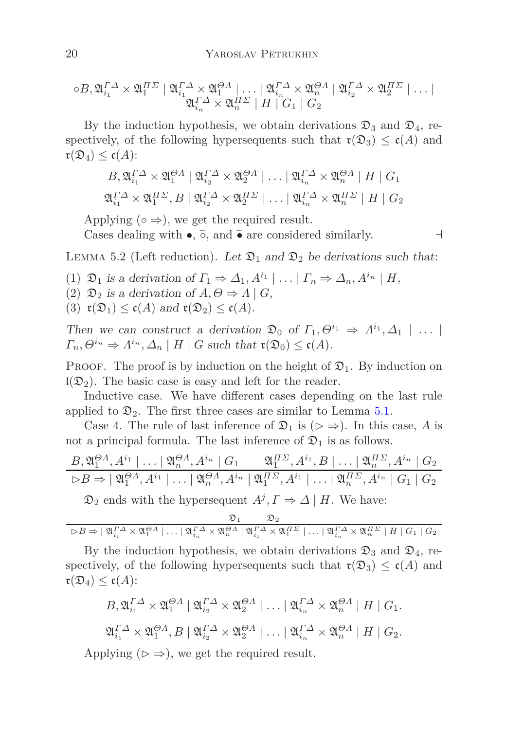$$
\circ B, \mathfrak{A}_{i_1}^{\Gamma \Delta} \times \mathfrak{A}_1^{\Pi \Sigma} \mid \mathfrak{A}_{i_1}^{\Gamma \Delta} \times \mathfrak{A}_1^{\Theta A} \mid \dots \mid \mathfrak{A}_{i_n}^{\Gamma \Delta} \times \mathfrak{A}_n^{\Theta A} \mid \mathfrak{A}_{i_2}^{\Gamma \Delta} \times \mathfrak{A}_2^{\Pi \Sigma} \mid \dots \mid
$$
  

$$
\mathfrak{A}_{i_n}^{\Gamma \Delta} \times \mathfrak{A}_n^{\Pi \Sigma} \mid H \mid G_1 \mid G_2
$$

By the induction hypothesis, we obtain derivations  $\mathfrak{D}_3$  and  $\mathfrak{D}_4$ , respectively, of the following hypersequents such that  $\mathfrak{r}(\mathfrak{D}_3) \leq \mathfrak{c}(A)$  and  $\mathfrak{r}(\mathfrak{D}_4) \leq \mathfrak{c}(A)$ :

$$
B, \mathfrak{A}_{i_1}^{\Gamma \Delta} \times \mathfrak{A}_1^{\Theta \Lambda} \mid \mathfrak{A}_{i_2}^{\Gamma \Delta} \times \mathfrak{A}_2^{\Theta \Lambda} \mid \dots \mid \mathfrak{A}_{i_n}^{\Gamma \Delta} \times \mathfrak{A}_n^{\Theta \Lambda} \mid H \mid G_1
$$
  

$$
\mathfrak{A}_{i_1}^{\Gamma \Delta} \times \mathfrak{A}_1^{\Pi \Sigma}, B \mid \mathfrak{A}_{i_2}^{\Gamma \Delta} \times \mathfrak{A}_2^{\Pi \Sigma} \mid \dots \mid \mathfrak{A}_{i_n}^{\Gamma \Delta} \times \mathfrak{A}_n^{\Pi \Sigma} \mid H \mid G_2
$$

Applying  $(○ \Rightarrow)$ , we get the required result.

Cases dealing with •,  $\tilde{\circ}$ , and  $\tilde{\bullet}$  are considered similarly.  $\Box$ 

<span id="page-19-0"></span>LEMMA 5.2 (Left reduction). Let  $\mathfrak{D}_1$  and  $\mathfrak{D}_2$  be derivations such that:

- (1)  $\mathfrak{D}_1$  is a derivation of  $\Gamma_1 \Rightarrow \Delta_1, A^{i_1} \mid \dots \mid \Gamma_n \Rightarrow \Delta_n, A^{i_n} \mid H$ ,
- (2)  $\mathfrak{D}_2$  is a derivation of  $A, \Theta \Rightarrow A \mid G$ ,
- (3)  $\mathfrak{r}(\mathfrak{D}_1) \leq \mathfrak{c}(A)$  and  $\mathfrak{r}(\mathfrak{D}_2) \leq \mathfrak{c}(A)$ .

Then we can construct a derivation  $\mathfrak{D}_0$  of  $\Gamma_1, \Theta^{i_1} \Rightarrow \Lambda^{i_1}, \Delta_1 \mid \ldots \mid$  $\Gamma_n, \Theta^{i_n} \Rightarrow \Lambda^{i_n}, \Delta_n \mid H \mid G$  such that  $\mathfrak{r}(\mathfrak{D}_0) \leq \mathfrak{c}(A)$ .

**PROOF.** The proof is by induction on the height of  $\mathfrak{D}_1$ . By induction on  $\mathfrak{l}(\mathfrak{D}_2)$ . The basic case is easy and left for the reader.

Inductive case. We have different cases depending on the last rule applied to  $\mathfrak{D}_2$ . The first three cases are similar to Lemma [5.1.](#page-14-0)

Case 4. The rule of last inference of  $\mathfrak{D}_1$  is ( $\triangleright \Rightarrow$ ). In this case, A is not a principal formula. The last inference of  $\mathfrak{D}_1$  is as follows.

$$
\frac{B_{1}\mathfrak{A}_{1}^{\Theta A}, A^{i_{1}} \mid \dots \mid \mathfrak{A}_{n}^{\Theta A}, A^{i_{n}} \mid G_{1} \qquad \mathfrak{A}_{1}^{I\Gamma}, A^{i_{1}}, B \mid \dots \mid \mathfrak{A}_{n}^{I\Gamma}, A^{i_{n}} \mid G_{2} \qquad \qquad \triangleright B \Rightarrow \mid \mathfrak{A}_{1}^{\Theta A}, A^{i_{1}} \mid \dots \mid \mathfrak{A}_{n}^{\Theta A}, A^{i_{n}} \mid \mathfrak{A}_{1}^{I\Gamma}, A^{i_{1}} \mid \dots \mid \mathfrak{A}_{n}^{I\Gamma}, A^{i_{n}} \mid G_{1} \mid G_{2}
$$

 $\mathfrak{D}_2$  ends with the hypersequent  $A^j$ ,  $\Gamma \Rightarrow \Delta \mid H$ . We have:

$$
\mathfrak{D}_1 \qquad \mathfrak{D}_2
$$
  

$$
\triangleright B \Rightarrow |\mathfrak{A}_i^{\Gamma \Delta} \times \mathfrak{A}_1^{\Theta \Lambda}| \dots |\mathfrak{A}_i^{\Gamma \Delta} \times \mathfrak{A}_n^{\Theta \Lambda}| \mathfrak{A}_i^{\Gamma \Delta} \times \mathfrak{A}_1^{H\Sigma}| \dots |\mathfrak{A}_i^{\Gamma \Delta} \times \mathfrak{A}_n^{H\Sigma}| H | G_1 | G_2
$$

By the induction hypothesis, we obtain derivations  $\mathfrak{D}_3$  and  $\mathfrak{D}_4$ , respectively, of the following hypersequents such that  $\mathfrak{r}(\mathfrak{D}_3) \leq \mathfrak{c}(A)$  and  $\mathfrak{r}(\mathfrak{D}_4) \leq \mathfrak{c}(A)$ :

$$
B_{\gamma} \mathfrak{A}_{i_1}^{\Gamma \Delta} \times \mathfrak{A}_1^{\Theta \Lambda} \mid \mathfrak{A}_{i_2}^{\Gamma \Delta} \times \mathfrak{A}_2^{\Theta \Lambda} \mid \dots \mid \mathfrak{A}_{i_n}^{\Gamma \Delta} \times \mathfrak{A}_n^{\Theta \Lambda} \mid H \mid G_1.
$$
  

$$
\mathfrak{A}_{i_1}^{\Gamma \Delta} \times \mathfrak{A}_1^{\Theta \Lambda}, B \mid \mathfrak{A}_{i_2}^{\Gamma \Delta} \times \mathfrak{A}_2^{\Theta \Lambda} \mid \dots \mid \mathfrak{A}_{i_n}^{\Gamma \Delta} \times \mathfrak{A}_n^{\Theta \Lambda} \mid H \mid G_2.
$$

Applying ( $\triangleright \Rightarrow$ ), we get the required result.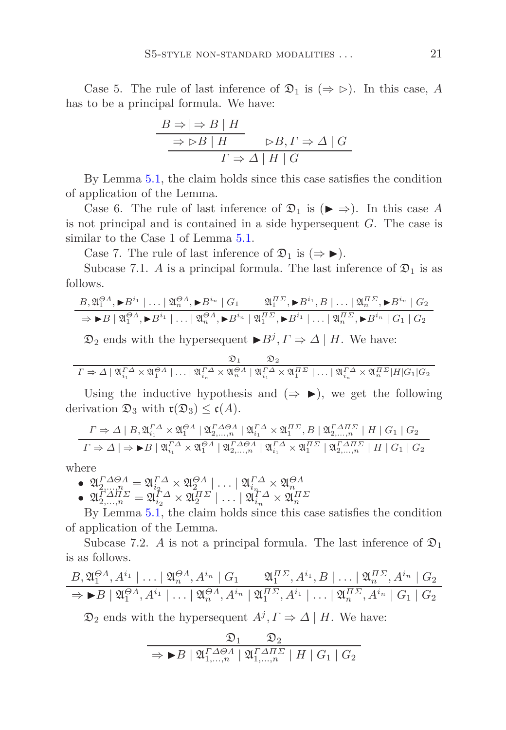Case 5. The rule of last inference of  $\mathfrak{D}_1$  is ( $\Rightarrow \rhd$ ). In this case, *A* has to be a principal formula. We have:

$$
\frac{B \Rightarrow |\Rightarrow B \mid H}{\Rightarrow \Rightarrow B \mid H} \qquad \Rightarrow B, \Gamma \Rightarrow \Delta \mid G
$$

$$
\Gamma \Rightarrow \Delta \mid H \mid G
$$

By Lemma [5.1,](#page-14-0) the claim holds since this case satisfies the condition of application of the Lemma.

Case 6. The rule of last inference of  $\mathfrak{D}_1$  is ( $\blacktriangleright \Rightarrow$ ). In this case A is not principal and is contained in a side hypersequent *G*. The case is similar to the Case 1 of Lemma  $5.1$ .

Case 7. The rule of last inference of  $\mathfrak{D}_1$  is  $(\Rightarrow \blacktriangleright)$ .

Subcase 7.1. *A* is a principal formula. The last inference of  $\mathfrak{D}_1$  is as follows.

$$
\frac{B_{1}\mathfrak{A}_{1}^{\Theta A}, \blacktriangleright B^{i_{1}} \mid \dots \mid \mathfrak{A}_{n}^{\Theta A}, \blacktriangleright B^{i_{n}} \mid G_{1}}{\Rightarrow \blacktriangleright B \mid \mathfrak{A}_{1}^{\Theta A}, \blacktriangleright B^{i_{1}} \mid \dots \mid \mathfrak{A}_{n}^{\Theta A}, \blacktriangleright B^{i_{n}} \mid \mathfrak{A}_{1}^{H\Sigma}, \blacktriangleright B^{i_{1}} \mid \dots \mid \mathfrak{A}_{n}^{H\Sigma}, \blacktriangleright B^{i_{n}} \mid G_{2}}
$$

 $\mathfrak{D}_2$  ends with the hypersequent  $\blacktriangleright B^j, \Gamma \Rightarrow \Delta \mid H$ . We have:

$$
\mathcal{D}_1 \qquad \mathcal{D}_2
$$
\n
$$
\Gamma \Rightarrow \Delta \mid \mathfrak{A}_{i_1}^{\Gamma \Delta} \times \mathfrak{A}_1^{\Theta \Lambda} \mid \dots \mid \mathfrak{A}_{i_n}^{\Gamma \Delta} \times \mathfrak{A}_n^{\Theta \Lambda} \mid \mathfrak{A}_{i_1}^{\Gamma \Delta} \times \mathfrak{A}_1^{\Pi \Sigma} \mid \dots \mid \mathfrak{A}_{i_n}^{\Gamma \Delta} \times \mathfrak{A}_n^{\Pi \Sigma} \mid H \mid G_1 \mid G_2
$$

Using the inductive hypothesis and  $(\Rightarrow \blacktriangleright)$ , we get the following derivation  $\mathfrak{D}_3$  with  $\mathfrak{r}(\mathfrak{D}_3) \leq \mathfrak{c}(A)$ .

$$
\Gamma \Rightarrow \Delta \mid B, \mathfrak{A}_{i_1}^{\Gamma \Delta} \times \mathfrak{A}_1^{Q \Lambda} \mid \mathfrak{A}_{2,\dots,n}^{\Gamma \Delta \Theta \Lambda} \mid \mathfrak{A}_{i_1}^{\Gamma \Delta} \times \mathfrak{A}_1^{\Pi \Sigma}, B \mid \mathfrak{A}_{2,\dots,n}^{\Gamma \Delta \Pi \Sigma} \mid H \mid G_1 \mid G_2
$$
\n
$$
\Gamma \Rightarrow \Delta \mid \Rightarrow \blacktriangleright B \mid \mathfrak{A}_{i_1}^{\Gamma \Delta} \times \mathfrak{A}_1^{Q \Lambda} \mid \mathfrak{A}_{2,\dots,n}^{\Gamma \Delta \Theta \Lambda} \mid \mathfrak{A}_{i_1}^{\Gamma \Delta} \times \mathfrak{A}_1^{\Pi \Sigma} \mid \mathfrak{A}_{2,\dots,n}^{\Gamma \Delta \Pi \Sigma} \mid H \mid G_1 \mid G_2
$$

where

 $\begin{array}{l} \mathfrak{D} \mathfrak{D}^{T\varDelta\ominus\varLambda}_{2,...,n}= \mathfrak{A}^{T\varDelta}_{i_{2}}\times \mathfrak{A}^{\ominus\varLambda}_{2}\mid \ldots \mid \mathfrak{A}^{T\varDelta}_{i_{n}}\times \mathfrak{A}^{\ominus\varLambda}_{n}\ \mathfrak{D}^{T\varDelta}_{2,...,n}= \mathfrak{A}^{T\varDelta}_{i_{2}}\times \mathfrak{A}^{H\varSigma}_{2}\mid \ldots \mid \mathfrak{A}^{T\varDelta}_{i_{n}}\times \mathfrak{A}^{H\varSigma}_{n}\ \end{array}$ 

By Lemma [5.1,](#page-14-0) the claim holds since this case satisfies the condition of application of the Lemma.

Subcase 7.2. *A* is not a principal formula. The last inference of  $\mathfrak{D}_1$ is as follows.

$$
\frac{B_{1}\mathfrak{A}_{1}^{\Theta A}, A^{i_{1}} \mid \dots \mid \mathfrak{A}_{n}^{\Theta A}, A^{i_{n}} \mid G_{1} \qquad \mathfrak{A}_{1}^{I\Gamma C}, A^{i_{1}}, B \mid \dots \mid \mathfrak{A}_{n}^{I\Gamma C}, A^{i_{n}} \mid G_{2} \qquad \Rightarrow \blacktriangleright B \mid \mathfrak{A}_{1}^{\Theta A}, A^{i_{1}} \mid \dots \mid \mathfrak{A}_{n}^{\Theta A}, A^{i_{n}} \mid \mathfrak{A}_{1}^{I\Gamma C}, A^{i_{1}} \mid \dots \mid \mathfrak{A}_{n}^{I\Gamma C}, A^{i_{n}} \mid G_{1} \mid G_{2}
$$

 $\mathfrak{D}_2$  ends with the hypersequent  $A^j$ ,  $\Gamma \Rightarrow \Delta \mid H$ . We have:

$$
\frac{\mathfrak{D}_1}{\Rightarrow \blacktriangleright B \mid \mathfrak{A}_{1,\ldots,n}^{\Gamma \Delta \Theta A} \mid \mathfrak{A}_{1,\ldots,n}^{\Gamma \Delta H \Sigma} \mid H \mid G_1 \mid G_2}
$$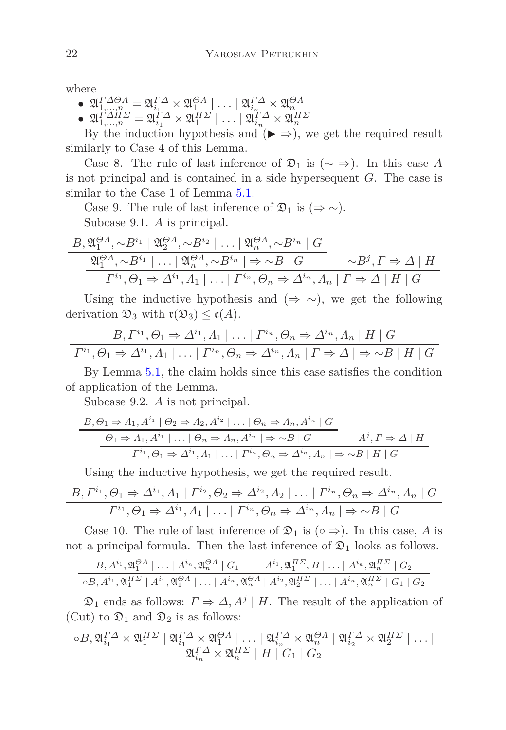where

- $\begin{array}{l} \mathfrak{D}\mathfrak{A}_{1,...,n}^{T\varDelta\ominus\varLambda}=\mathfrak{A}_{i_{1}}^{T\varDelta}\times\mathfrak{A}_{1}^{\ominus\varLambda}\mid...\mid\mathfrak{A}_{i_{n}}^{T\varDelta}\times\mathfrak{A}_{n}^{\ominus\varLambda}\ \mathfrak{A}_{1,...,n}^{T\varDelta}=\mathfrak{A}_{i_{1}}^{T\varDelta}\times\mathfrak{A}_{1}^{H\varSigma}\mid...\mid\mathfrak{A}_{i_{n}}^{T\varDelta}\times\mathfrak{A}_{n}^{H\varSigma} \end{array}$
- 

By the induction hypothesis and  $(\triangleright \Rightarrow)$ , we get the required result similarly to Case 4 of this Lemma.

Case 8. The rule of last inference of  $\mathfrak{D}_1$  is ( $\sim \Rightarrow$ ). In this case A is not principal and is contained in a side hypersequent *G*. The case is similar to the Case 1 of Lemma  $5.1$ .

Case 9. The rule of last inference of  $\mathfrak{D}_1$  is  $(\Rightarrow \sim)$ . Subcase 9.1. *A* is principal.

$$
\frac{B_{1} \mathfrak{A}_{1}^{0} \wedge B^{i_{1}} | \mathfrak{A}_{2}^{0} \wedge B^{i_{2}} | \dots | \mathfrak{A}_{n}^{0} \wedge B^{i_{n}} | G}{\mathfrak{A}_{1}^{0} \wedge B^{i_{1}} | \dots | \mathfrak{A}_{n}^{0} \wedge B^{i_{n}} | \Rightarrow \sim B | G} \qquad \sim B^{j}, \Gamma \Rightarrow \Delta | H
$$
  

$$
\Gamma^{i_{1}}, \Theta_{1} \Rightarrow \Delta^{i_{1}}, \Lambda_{1} | \dots | \Gamma^{i_{n}}, \Theta_{n} \Rightarrow \Delta^{i_{n}}, \Lambda_{n} | \Gamma \Rightarrow \Delta | H | G
$$

Using the inductive hypothesis and  $(\Rightarrow \sim)$ , we get the following derivation  $\mathfrak{D}_3$  with  $\mathfrak{r}(\mathfrak{D}_3) \leq \mathfrak{c}(A)$ .

$$
B, \Gamma^{i_1}, \Theta_1 \Rightarrow \Delta^{i_1}, A_1 | \dots | \Gamma^{i_n}, \Theta_n \Rightarrow \Delta^{i_n}, A_n | H | G
$$

$$
\Gamma^{i_1}, \Theta_1 \Rightarrow \Delta^{i_1}, A_1 | \dots | \Gamma^{i_n}, \Theta_n \Rightarrow \Delta^{i_n}, A_n | \Gamma \Rightarrow \Delta | \Rightarrow \sim B | H | G
$$

By Lemma [5.1,](#page-14-0) the claim holds since this case satisfies the condition of application of the Lemma.

Subcase 9.2. *A* is not principal.

$$
B, \Theta_1 \Rightarrow A_1, A^{i_1} \mid \Theta_2 \Rightarrow A_2, A^{i_2} \mid \dots \mid \Theta_n \Rightarrow A_n, A^{i_n} \mid G
$$
  

$$
\frac{\Theta_1 \Rightarrow A_1, A^{i_1} \mid \dots \mid \Theta_n \Rightarrow A_n, A^{i_n} \mid \Rightarrow \sim B \mid G}{\Gamma^{i_1}, \Theta_1 \Rightarrow \Delta^{i_1}, A_1 \mid \dots \mid \Gamma^{i_n}, \Theta_n \Rightarrow \Delta^{i_n}, A_n \mid \Rightarrow \sim B \mid H \mid G}
$$

Using the inductive hypothesis, we get the required result.

$$
\frac{B, \Gamma^{i_1}, \Theta_1 \Rightarrow \Delta^{i_1}, A_1 \mid \Gamma^{i_2}, \Theta_2 \Rightarrow \Delta^{i_2}, A_2 \mid \dots \mid \Gamma^{i_n}, \Theta_n \Rightarrow \Delta^{i_n}, A_n \mid G}{\Gamma^{i_1}, \Theta_1 \Rightarrow \Delta^{i_1}, A_1 \mid \dots \mid \Gamma^{i_n}, \Theta_n \Rightarrow \Delta^{i_n}, A_n \mid \Rightarrow \sim B \mid G}
$$

Case 10. The rule of last inference of  $\mathfrak{D}_1$  is (∘  $\Rightarrow$ ). In this case, A is not a principal formula. Then the last inference of  $\mathfrak{D}_1$  looks as follows.

$$
\frac{B_{1}A^{i_{1}}, \mathfrak{A}_{1}^{Q}A \mid \dots \mid A^{i_{n}}, \mathfrak{A}_{n}^{Q}A \mid G_{1}}{\circ B_{1}A^{i_{1}}, \mathfrak{A}_{1}^{H\Sigma} \mid A^{i_{1}}, \mathfrak{A}_{1}^{Q}A \mid \dots \mid A^{i_{n}}, \mathfrak{A}_{n}^{Q}A \mid A^{i_{2}}, \mathfrak{A}_{2}^{H\Sigma} \mid \dots \mid A^{i_{n}}, \mathfrak{A}_{n}^{H\Sigma} \mid G_{1} \mid G_{2}}
$$

 $\mathfrak{D}_1$  ends as follows:  $\Gamma \Rightarrow \Delta, A^j \mid H$ . The result of the application of (Cut) to  $\mathfrak{D}_1$  and  $\mathfrak{D}_2$  is as follows:

$$
\circ B, \mathfrak{A}_{i_1}^{\Gamma \Delta} \times \mathfrak{A}_1^{\Pi \Sigma} \mid \mathfrak{A}_{i_1}^{\Gamma \Delta} \times \mathfrak{A}_1^{\Theta A} \mid \dots \mid \mathfrak{A}_{i_n}^{\Gamma \Delta} \times \mathfrak{A}_n^{\Theta A} \mid \mathfrak{A}_{i_2}^{\Gamma \Delta} \times \mathfrak{A}_2^{\Pi \Sigma} \mid \dots \mid
$$
  

$$
\mathfrak{A}_{i_n}^{\Gamma \Delta} \times \mathfrak{A}_n^{\Pi \Sigma} \mid H \mid G_1 \mid G_2
$$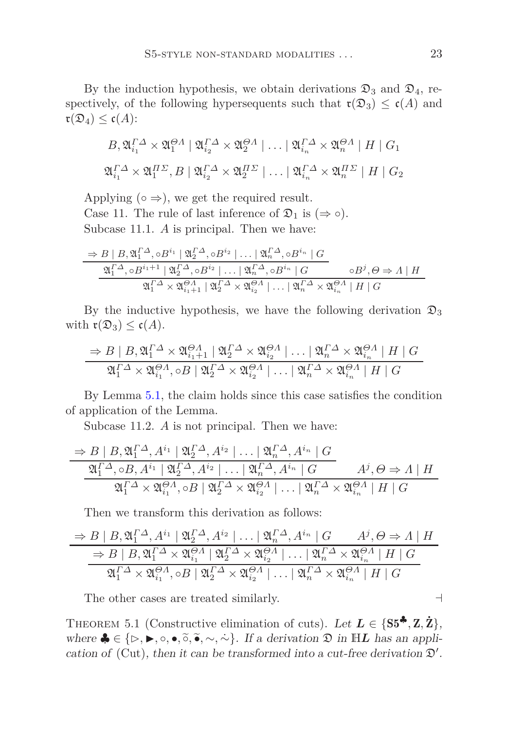By the induction hypothesis, we obtain derivations  $\mathfrak{D}_3$  and  $\mathfrak{D}_4$ , respectively, of the following hypersequents such that  $\mathfrak{r}(\mathfrak{D}_3) \leq \mathfrak{c}(A)$  and  $\mathfrak{r}(\mathfrak{D}_4) \leq \mathfrak{c}(A)$ :

$$
B_{\gamma} \mathfrak{A}_{i_1}^{\Gamma \Delta} \times \mathfrak{A}_1^{\Theta \Lambda} \mid \mathfrak{A}_{i_2}^{\Gamma \Delta} \times \mathfrak{A}_2^{\Theta \Lambda} \mid \dots \mid \mathfrak{A}_{i_n}^{\Gamma \Delta} \times \mathfrak{A}_n^{\Theta \Lambda} \mid H \mid G_1
$$
  

$$
\mathfrak{A}_{i_1}^{\Gamma \Delta} \times \mathfrak{A}_1^{\Pi \Sigma}, B \mid \mathfrak{A}_{i_2}^{\Gamma \Delta} \times \mathfrak{A}_2^{\Pi \Sigma} \mid \dots \mid \mathfrak{A}_{i_n}^{\Gamma \Delta} \times \mathfrak{A}_n^{\Pi \Sigma} \mid H \mid G_2
$$

Applying  $(○ \Rightarrow)$ , we get the required result. Case 11. The rule of last inference of  $\mathfrak{D}_1$  is  $(\Rightarrow \circ)$ . Subcase 11.1. *A* is principal. Then we have:

$$
\frac{\Rightarrow B \mid B, \mathfrak{A}_{1}^{\Gamma\Delta}, \circ B^{i_{1}} \mid \mathfrak{A}_{2}^{\Gamma\Delta}, \circ B^{i_{2}} \mid \dots \mid \mathfrak{A}_{n}^{\Gamma\Delta}, \circ B^{i_{n}} \mid G}{\mathfrak{A}_{1}^{\Gamma\Delta}, \circ B^{i_{1}+1} \mid \mathfrak{A}_{2}^{\Gamma\Delta}, \circ B^{i_{2}} \mid \dots \mid \mathfrak{A}_{n}^{\Gamma\Delta}, \circ B^{i_{n}} \mid G} \qquad \circ B^{j}, \Theta \Rightarrow \Lambda \mid H
$$
  

$$
\mathfrak{A}_{1}^{\Gamma\Delta} \times \mathfrak{A}_{i_{1}+1}^{\Theta\Delta} \mid \mathfrak{A}_{2}^{\Gamma\Delta} \times \mathfrak{A}_{i_{2}}^{\Theta\Delta} \mid \dots \mid \mathfrak{A}_{n}^{\Gamma\Delta} \times \mathfrak{A}_{i_{n}}^{\Theta\Delta} \mid H \mid G
$$

By the inductive hypothesis, we have the following derivation  $\mathfrak{D}_3$ with  $\mathfrak{r}(\mathfrak{D}_3) \leq \mathfrak{c}(A)$ .

$$
\frac{\Rightarrow B \mid B, \mathfrak{A}_{1}^{\Gamma\Delta} \times \mathfrak{A}_{i_{1}+1}^{\Theta A} \mid \mathfrak{A}_{2}^{\Gamma\Delta} \times \mathfrak{A}_{i_{2}}^{\Theta A} \mid \dots \mid \mathfrak{A}_{n}^{\Gamma\Delta} \times \mathfrak{A}_{i_{n}}^{\Theta A} \mid H \mid G}{\mathfrak{A}_{1}^{\Gamma\Delta} \times \mathfrak{A}_{i_{1}}^{\Theta A}, \circ B \mid \mathfrak{A}_{2}^{\Gamma\Delta} \times \mathfrak{A}_{i_{2}}^{\Theta A} \mid \dots \mid \mathfrak{A}_{n}^{\Gamma\Delta} \times \mathfrak{A}_{i_{n}}^{\Theta A} \mid H \mid G}
$$

By Lemma [5.1,](#page-14-0) the claim holds since this case satisfies the condition of application of the Lemma.

Subcase 11.2. *A* is not principal. Then we have:

$$
\frac{\Rightarrow B \mid B, \mathfrak{A}_{1}^{\Gamma} \Delta, A^{i_{1}} \mid \mathfrak{A}_{2}^{\Gamma} \Delta, A^{i_{2}} \mid \dots \mid \mathfrak{A}_{n}^{\Gamma} \Delta, A^{i_{n}} \mid G}{\mathfrak{A}_{1}^{\Gamma} \Delta, \Theta, A^{i_{1}} \mid \mathfrak{A}_{2}^{\Gamma} \Delta, A^{i_{2}} \mid \dots \mid \mathfrak{A}_{n}^{\Gamma} \Delta, A^{i_{n}} \mid G} \qquad A^{j}, \Theta \Rightarrow \Lambda \mid H
$$

$$
\mathfrak{A}_{1}^{\Gamma} \Delta \times \mathfrak{A}_{i_{1}}^{\Theta \Lambda}, \Theta \mid \mathfrak{A}_{2}^{\Gamma} \Delta \times \mathfrak{A}_{i_{2}}^{\Theta \Lambda} \mid \dots \mid \mathfrak{A}_{n}^{\Gamma} \Delta \times \mathfrak{A}_{i_{n}}^{\Theta \Lambda} \mid H \mid G
$$

Then we transform this derivation as follows:

$$
\frac{\Rightarrow B \mid B, \mathfrak{A}_{1}^{\Gamma\Delta}, A^{i_{1}} \mid \mathfrak{A}_{2}^{\Gamma\Delta}, A^{i_{2}} \mid \dots \mid \mathfrak{A}_{n}^{\Gamma\Delta}, A^{i_{n}} \mid G \qquad A^{j}, \Theta \Rightarrow \Lambda \mid H}{\Rightarrow B \mid B, \mathfrak{A}_{1}^{\Gamma\Delta} \times \mathfrak{A}_{i_{1}}^{\Theta\Lambda} \mid \mathfrak{A}_{2}^{\Gamma\Delta} \times \mathfrak{A}_{i_{2}}^{\Theta\Lambda} \mid \dots \mid \mathfrak{A}_{n}^{\Gamma\Delta} \times \mathfrak{A}_{i_{n}}^{\Theta\Lambda} \mid H \mid G}
$$

$$
\mathfrak{A}_{1}^{\Gamma\Delta} \times \mathfrak{A}_{i_{1}}^{\Theta\Lambda}, \circ B \mid \mathfrak{A}_{2}^{\Gamma\Delta} \times \mathfrak{A}_{i_{2}}^{\Theta\Lambda} \mid \dots \mid \mathfrak{A}_{n}^{\Gamma\Delta} \times \mathfrak{A}_{i_{n}}^{\Theta\Lambda} \mid H \mid G
$$

The other cases are treated similarly. ⊣

THEOREM 5.1 (Constructive elimination of cuts). Let  $L \in \{S5^{\clubsuit}, Z, Z\}$ , where  $\clubsuit \in \{\triangleright, \blacktriangleright, \circ, \bullet, \widetilde{\circ}, \widetilde{\bullet}, \sim, \widetilde{\sim}\}$ . If a derivation  $\mathfrak{D}$  in  $\mathbb{H}L$  has an application of (Cut), then it can be transformed into a cut-free derivation  $\mathfrak{D}'$ .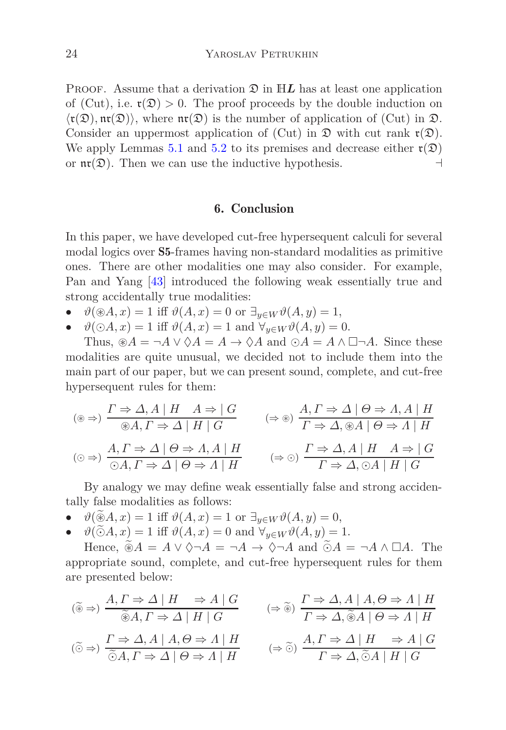**PROOF.** Assume that a derivation  $\mathfrak{D}$  in  $\mathbb{H}L$  has at least one application of (Cut), i.e.  $\mathfrak{r}(\mathfrak{D}) > 0$ . The proof proceeds by the double induction on  $\langle \mathfrak{r}(\mathfrak{D}), \mathfrak{nr}(\mathfrak{D}) \rangle$ , where  $\mathfrak{nr}(\mathfrak{D})$  is the number of application of (Cut) in  $\mathfrak{D}$ . Consider an uppermost application of (Cut) in  $\mathfrak{D}$  with cut rank  $\mathfrak{r}(\mathfrak{D})$ . We apply Lemmas [5.1](#page-14-0) and [5.2](#page-19-0) to its premises and decrease either  $\mathfrak{r}(\mathfrak{D})$ or  $\mathfrak{nr}(\mathfrak{D})$ . Then we can use the inductive hypothesis. ⊣

#### 6. Conclusion

<span id="page-23-0"></span>In this paper, we have developed cut-free hypersequent calculi for several modal logics over S5-frames having non-standard modalities as primitive ones. There are other modalities one may also consider. For example, Pan and Yang [\[43](#page-27-12)] introduced the following weak essentially true and strong accidentally true modalities:

- $\vartheta(\mathcal{B}A, x) = 1$  iff  $\vartheta(A, x) = 0$  or  $\exists_{y \in W} \vartheta(A, y) = 1$ ,
- $\vartheta(\bigcirc A, x) = 1$  iff  $\vartheta(A, x) = 1$  and  $\forall_{y \in W} \vartheta(A, y) = 0$ .

Thus,  $\mathcal{B}A = \neg A \lor \Diamond A = A \rightarrow \Diamond A$  and  $\Diamond A = A \land \Box \neg A$ . Since these modalities are quite unusual, we decided not to include them into the main part of our paper, but we can present sound, complete, and cut-free hypersequent rules for them:

$$
(\circledast \Rightarrow) \frac{\Gamma \Rightarrow \Delta, A \mid H \quad A \Rightarrow |G \quad (\Rightarrow \circledast) \frac{A, \Gamma \Rightarrow \Delta \mid \Theta \Rightarrow A, A \mid H}{\Gamma \Rightarrow \Delta, \circledast A \mid \Theta \Rightarrow A \mid H}
$$
\n
$$
(\circledast \Rightarrow) \frac{A, \Gamma \Rightarrow \Delta \mid \Theta \Rightarrow A, A \mid H}{\circledast A, \Gamma \Rightarrow \Delta \mid \Theta \Rightarrow A \mid H} \qquad (\Rightarrow \circledast) \frac{\Gamma \Rightarrow \Delta, A \mid H \quad A \Rightarrow |G \cap \Delta, \Gamma \Rightarrow \Delta, \Theta \mid H}{\Gamma \Rightarrow \Delta, \circledast A \mid H \mid G}
$$

By analogy we may define weak essentially false and strong accidentally false modalities as follows:

- $\vartheta(\tilde{\circledast}A, x) = 1$  iff  $\vartheta(A, x) = 1$  or  $\exists_{y \in W} \vartheta(A, y) = 0$ ,
- $\vartheta(\tilde{\odot}A, x) = 1$  iff  $\vartheta(A, x) = 0$  and  $\forall_{y \in W} \vartheta(A, y) = 1$ .

Hence,  $\widetilde{\circ}A = A \vee \Diamond \neg A = \neg A \rightarrow \Diamond \neg A$  and  $\widetilde{\circ}A = \neg A \wedge \Box A$ . The appropriate sound, complete, and cut-free hypersequent rules for them are presented below:

$$
\begin{array}{lll}\n(\widetilde{\circledast} \Rightarrow) & \frac{A, \Gamma \Rightarrow \Delta \mid H \quad \Rightarrow A \mid G}{\widetilde{\circledast} A, \Gamma \Rightarrow \Delta \mid H \mid G}\n\end{array}\n\quad\n\begin{array}{lll}\n(\Rightarrow \widetilde{\circledast}) & \frac{\Gamma \Rightarrow \Delta, A \mid A, \Theta \Rightarrow \Lambda \mid H}{\Gamma \Rightarrow \Delta, \widetilde{\circledast} A \mid \Theta \Rightarrow \Lambda \mid H}\n\end{array}
$$
\n
$$
\begin{array}{lll}\n(\widetilde{\circlearrowright} \Rightarrow) & \frac{\Gamma \Rightarrow \Delta, A \mid A, \Theta \Rightarrow \Lambda \mid H}{\widetilde{\circlearrowright} A, \Gamma \Rightarrow \Delta \mid \Theta \Rightarrow \Lambda \mid H}\n\end{array}\n\quad\n\begin{array}{lll}\n(\Rightarrow \widetilde{\circlearrowright}) & \frac{A, \Gamma \Rightarrow \Delta \mid H \quad \Rightarrow A \mid G}{\Gamma \Rightarrow \Delta, \widetilde{\circlearrowleft} A \mid H \mid G}\n\end{array}
$$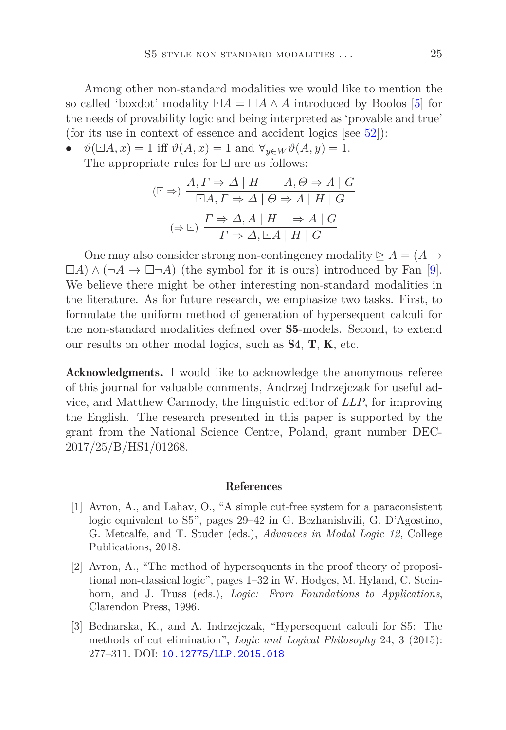Among other non-standard modalities we would like to mention the so called 'boxdot' modality  $\Box A = \Box A \wedge A$  introduced by Boolos [\[5](#page-25-11)] for the needs of provability logic and being interpreted as 'provable and true' (for its use in context of essence and accident logics  $|see 52|$  $|see 52|$  $|see 52|$ ):

 $\vartheta(\Box A, x) = 1$  iff  $\vartheta(A, x) = 1$  and  $\forall_{y \in W} \vartheta(A, y) = 1$ .

The appropriate rules for ⊡ are as follows:

$$
(\Box \Rightarrow) \frac{A, \Gamma \Rightarrow \Delta \mid H \qquad A, \Theta \Rightarrow \Lambda \mid G}{\Box A, \Gamma \Rightarrow \Delta \mid \Theta \Rightarrow \Lambda \mid H \mid G}
$$

$$
(\Rightarrow \Box) \frac{\Gamma \Rightarrow \Delta, A \mid H \qquad \Rightarrow A \mid G}{\Gamma \Rightarrow \Delta, \Box A \mid H \mid G}
$$

One may also consider strong non-contingency modality  $\geq A = (A \rightarrow$  $\Box A) \wedge (\neg A \rightarrow \Box \neg A)$  (the symbol for it is ours) introduced by Fan [\[9\]](#page-25-12). We believe there might be other interesting non-standard modalities in the literature. As for future research, we emphasize two tasks. First, to formulate the uniform method of generation of hypersequent calculi for the non-standard modalities defined over S5-models. Second, to extend our results on other modal logics, such as S4, T, K, etc.

Acknowledgments. I would like to acknowledge the anonymous referee of this journal for valuable comments, Andrzej Indrzejczak for useful advice, and Matthew Carmody, the linguistic editor of *LLP*, for improving the English. The research presented in this paper is supported by the grant from the National Science Centre, Poland, grant number DEC-2017/25/B/HS1/01268.

#### References

- <span id="page-24-2"></span>[1] Avron, A., and Lahav, O., "A simple cut-free system for a paraconsistent logic equivalent to S5", pages 29–42 in G. Bezhanishvili, G. D'Agostino, G. Metcalfe, and T. Studer (eds.), *Advances in Modal Logic 12*, College Publications, 2018.
- <span id="page-24-0"></span>[2] Avron, A., "The method of hypersequents in the proof theory of propositional non-classical logic", pages 1–32 in W. Hodges, M. Hyland, C. Steinhorn, and J. Truss (eds.), *Logic: From Foundations to Applications*, Clarendon Press, 1996.
- <span id="page-24-1"></span>[3] Bednarska, K., and A. Indrzejczak, "Hypersequent calculi for S5: The methods of cut elimination", *Logic and Logical Philosophy* 24, 3 (2015): 277–311. DOI: [10.12775/LLP.2015.018](http://dx.doi.org/10.12775/LLP.2015.018)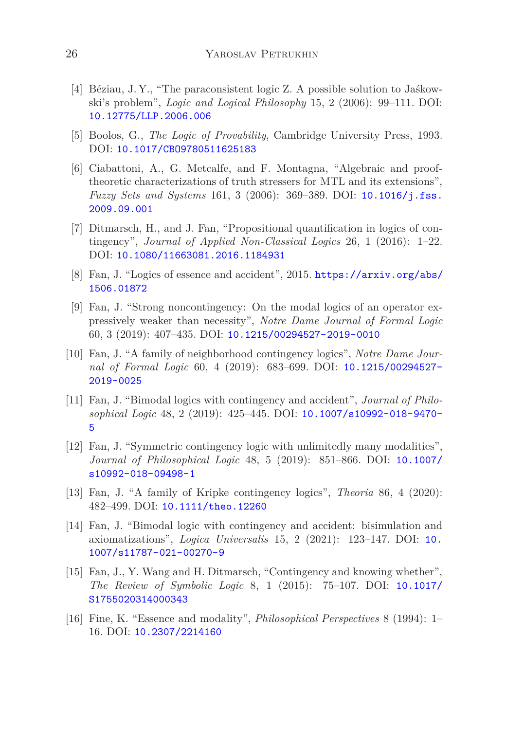- <span id="page-25-9"></span>[4] Béziau, J. Y., "The paraconsistent logic Z. A possible solution to Jaśkowski's problem", *Logic and Logical Philosophy* 15, 2 (2006): 99–111. DOI: [10.12775/LLP.2006.006](http://dx.doi.org/10.12775/LLP.2006.006)
- <span id="page-25-11"></span>[5] Boolos, G., *The Logic of Provability*, Cambridge University Press, 1993. DOI: [10.1017/CBO9780511625183](http://dx.doi.org/10.1017/CBO9780511625183)
- <span id="page-25-10"></span>[6] Ciabattoni, A., G. Metcalfe, and F. Montagna, "Algebraic and prooftheoretic characterizations of truth stressers for MTL and its extensions", *Fuzzy Sets and Systems* 161, 3 (2006): 369–389. DOI: [10.1016/j.fss.](http://dx.doi.org/10.1016/j.fss.2009.09.001) [2009.09.001](http://dx.doi.org/10.1016/j.fss.2009.09.001)
- <span id="page-25-4"></span>[7] Ditmarsch, H., and J. Fan, "Propositional quantification in logics of contingency", *Journal of Applied Non-Classical Logics* 26, 1 (2016): 1–22. DOI: [10.1080/11663081.2016.1184931](http://dx.doi.org/10.1080/11663081.2016.1184931)
- <span id="page-25-6"></span>[8] Fan, J. "Logics of essence and accident", 2015. [https://arxiv.org/abs/](https://arxiv.org/abs/1506.01872) [1506.01872](https://arxiv.org/abs/1506.01872)
- <span id="page-25-12"></span>[9] Fan, J. "Strong noncontingency: On the modal logics of an operator expressively weaker than necessity", *Notre Dame Journal of Formal Logic* 60, 3 (2019): 407–435. DOI: [10.1215/00294527-2019-0010](http://dx.doi.org/10.1215/00294527-2019-0010)
- <span id="page-25-3"></span>[10] Fan, J. "A family of neighborhood contingency logics", *Notre Dame Journal of Formal Logic* 60, 4 (2019): 683–699. DOI: [10.1215/00294527-](http://dx.doi.org/10.1215/00294527-2019-0025) [2019-0025](http://dx.doi.org/10.1215/00294527-2019-0025)
- <span id="page-25-7"></span>[11] Fan, J. "Bimodal logics with contingency and accident", *Journal of Philosophical Logic* 48, 2 (2019): 425–445. DOI: [10.1007/s10992-018-9470-](http://dx.doi.org/10.1007/s10992-018-9470-5) [5](http://dx.doi.org/10.1007/s10992-018-9470-5)
- <span id="page-25-1"></span>[12] Fan, J. "Symmetric contingency logic with unlimitedly many modalities", *Journal of Philosophical Logic* 48, 5 (2019): 851–866. DOI: [10.1007/](http://dx.doi.org/10.1007/s10992-018-09498-1) [s10992-018-09498-1](http://dx.doi.org/10.1007/s10992-018-09498-1)
- <span id="page-25-2"></span>[13] Fan, J. "A family of Kripke contingency logics", *Theoria* 86, 4 (2020): 482–499. DOI: [10.1111/theo.12260](http://dx.doi.org/10.1111/theo.12260)
- <span id="page-25-8"></span>[14] Fan, J. "Bimodal logic with contingency and accident: bisimulation and axiomatizations", *Logica Universalis* 15, 2 (2021): 123–147. DOI: [10.](http://dx.doi.org/10.1007/s11787-021-00270-9) [1007/s11787-021-00270-9](http://dx.doi.org/10.1007/s11787-021-00270-9)
- <span id="page-25-0"></span>[15] Fan, J., Y. Wang and H. Ditmarsch, "Contingency and knowing whether", *The Review of Symbolic Logic* 8, 1 (2015): 75–107. DOI: [10.1017/](http://dx.doi.org/10.1017/S1755020314000343) [S1755020314000343](http://dx.doi.org/10.1017/S1755020314000343)
- <span id="page-25-5"></span>[16] Fine, K. "Essence and modality", *Philosophical Perspectives* 8 (1994): 1– 16. DOI: [10.2307/2214160](http://dx.doi.org/10.2307/2214160)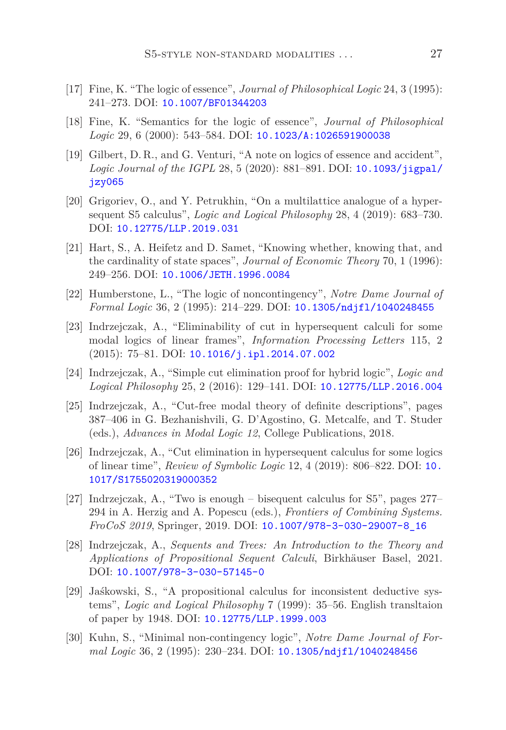- <span id="page-26-3"></span>[17] Fine, K. "The logic of essence", *Journal of Philosophical Logic* 24, 3 (1995): 241–273. DOI: [10.1007/BF01344203](http://dx.doi.org/10.1007/BF01344203)
- <span id="page-26-4"></span>[18] Fine, K. "Semantics for the logic of essence", *Journal of Philosophical Logic* 29, 6 (2000): 543–584. DOI: [10.1023/A:1026591900038](http://dx.doi.org/10.1023/A:1026591900038)
- <span id="page-26-5"></span>[19] Gilbert, D. R., and G. Venturi, "A note on logics of essence and accident", *Logic Journal of the IGPL* 28, 5 (2020): 881–891. DOI: [10.1093/jigpal/](http://dx.doi.org/10.1093/jigpal/jzy065) [jzy065](http://dx.doi.org/10.1093/jigpal/jzy065)
- <span id="page-26-9"></span>[20] Grigoriev, O., and Y. Petrukhin, "On a multilattice analogue of a hypersequent S5 calculus", *Logic and Logical Philosophy* 28, 4 (2019): 683–730. DOI: [10.12775/LLP.2019.031](http://dx.doi.org/10.12775/LLP.2019.031)
- <span id="page-26-0"></span>[21] Hart, S., A. Heifetz and D. Samet, "Knowing whether, knowing that, and the cardinality of state spaces", *Journal of Economic Theory* 70, 1 (1996): 249–256. DOI: [10.1006/JETH.1996.0084](http://dx.doi.org/10.1006/JETH.1996.0084)
- <span id="page-26-1"></span>[22] Humberstone, L., "The logic of noncontingency", *Notre Dame Journal of Formal Logic* 36, 2 (1995): 214–229. DOI: [10.1305/ndjfl/1040248455](http://dx.doi.org/10.1305/ndjfl/1040248455)
- <span id="page-26-10"></span>[23] Indrzejczak, A., "Eliminability of cut in hypersequent calculi for some modal logics of linear frames", *Information Processing Letters* 115, 2  $(2015): 75–81. \text{ DOI: } 10.1016/j.ip1.2014.07.002$
- <span id="page-26-11"></span>[24] Indrzejczak, A., "Simple cut elimination proof for hybrid logic", *Logic and Logical Philosophy* 25, 2 (2016): 129–141. DOI: [10.12775/LLP.2016.004](http://dx.doi.org/10.12775/LLP.2016.004)
- <span id="page-26-12"></span>[25] Indrzejczak, A., "Cut-free modal theory of definite descriptions", pages 387–406 in G. Bezhanishvili, G. D'Agostino, G. Metcalfe, and T. Studer (eds.), *Advances in Modal Logic 12*, College Publications, 2018.
- <span id="page-26-13"></span>[26] Indrzejczak, A., "Cut elimination in hypersequent calculus for some logics of linear time", *Review of Symbolic Logic* 12, 4 (2019): 806–822. DOI: [10.](http://dx.doi.org/10.1017/S1755020319000352) [1017/S1755020319000352](http://dx.doi.org/10.1017/S1755020319000352)
- <span id="page-26-6"></span>[27] Indrzejczak, A., "Two is enough – bisequent calculus for S5", pages 277– 294 in A. Herzig and A. Popescu (eds.), *Frontiers of Combining Systems. FroCoS 2019*, Springer, 2019. DOI: [10.1007/978-3-030-29007-8\\_16](http://dx.doi.org/10.1007/978-3-030-29007-8_16)
- <span id="page-26-7"></span>[28] Indrzejczak, A., *Sequents and Trees: An Introduction to the Theory and Applications of Propositional Sequent Calculi*, Birkhäuser Basel, 2021. DOI: [10.1007/978-3-030-57145-0](http://dx.doi.org/10.1007/978-3-030-57145-0)
- <span id="page-26-8"></span>[29] Jaśkowski, S., "A propositional calculus for inconsistent deductive systems", *Logic and Logical Philosophy* 7 (1999): 35–56. English transltaion of paper by 1948. DOI: [10.12775/LLP.1999.003](http://dx.doi.org/10.12775/LLP.1999.003)
- <span id="page-26-2"></span>[30] Kuhn, S., "Minimal non-contingency logic", *Notre Dame Journal of Formal Logic* 36, 2 (1995): 230–234. DOI: [10.1305/ndjfl/1040248456](http://dx.doi.org/10.1305/ndjfl/1040248456)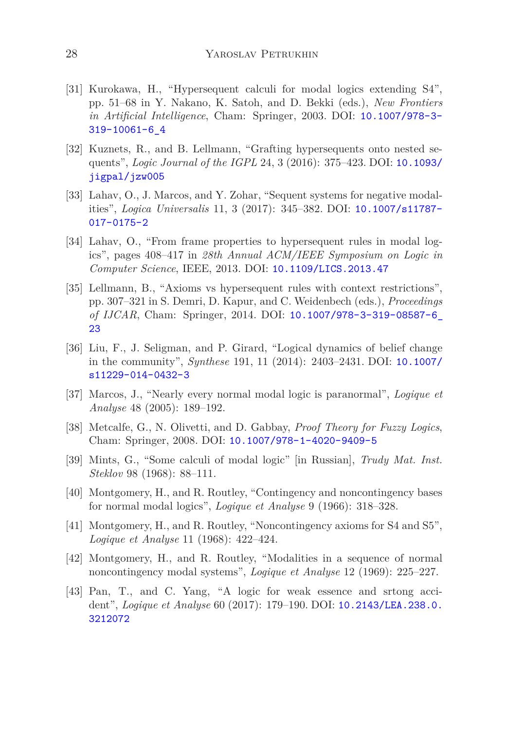- <span id="page-27-6"></span>[31] Kurokawa, H., "Hypersequent calculi for modal logics extending S4", pp. 51–68 in Y. Nakano, K. Satoh, and D. Bekki (eds.), *New Frontiers in Artificial Intelligence*, Cham: Springer, 2003. DOI: [10.1007/978-3-](http://dx.doi.org/10.1007/978-3-319-10061-6_4) [319-10061-6\\_4](http://dx.doi.org/10.1007/978-3-319-10061-6_4)
- <span id="page-27-11"></span>[32] Kuznets, R., and B. Lellmann, "Grafting hypersequents onto nested sequents", *Logic Journal of the IGPL* 24, 3 (2016): 375–423. DOI: [10.1093/](http://dx.doi.org/10.1093/jigpal/jzw005) [jigpal/jzw005](http://dx.doi.org/10.1093/jigpal/jzw005)
- <span id="page-27-8"></span>[33] Lahav, O., J. Marcos, and Y. Zohar, "Sequent systems for negative modalities", *Logica Universalis* 11, 3 (2017): 345–382. DOI: [10.1007/s11787-](http://dx.doi.org/10.1007/s11787-017-0175-2) [017-0175-2](http://dx.doi.org/10.1007/s11787-017-0175-2)
- <span id="page-27-5"></span>[34] Lahav, O., "From frame properties to hypersequent rules in modal logics", pages 408–417 in *28th Annual ACM/IEEE Symposium on Logic in Computer Science*, IEEE, 2013. DOI: [10.1109/LICS.2013.47](http://dx.doi.org/10.1109/LICS.2013.47)
- <span id="page-27-10"></span>[35] Lellmann, B., "Axioms vs hypersequent rules with context restrictions", pp. 307–321 in S. Demri, D. Kapur, and C. Weidenbech (eds.), *Proceedings of IJCAR*, Cham: Springer, 2014. DOI: [10.1007/978-3-319-08587-6\\_](http://dx.doi.org/10.1007/978-3-319-08587-6_23) [23](http://dx.doi.org/10.1007/978-3-319-08587-6_23)
- <span id="page-27-0"></span>[36] Liu, F., J. Seligman, and P. Girard, "Logical dynamics of belief change in the community", *Synthese* 191, 11 (2014): 2403–2431. DOI: [10.1007/](http://dx.doi.org/10.1007/s11229-014-0432-3) [s11229-014-0432-3](http://dx.doi.org/10.1007/s11229-014-0432-3)
- <span id="page-27-7"></span>[37] Marcos, J., "Nearly every normal modal logic is paranormal", *Logique et Analyse* 48 (2005): 189–192.
- <span id="page-27-9"></span>[38] Metcalfe, G., N. Olivetti, and D. Gabbay, *Proof Theory for Fuzzy Logics*, Cham: Springer, 2008. DOI: [10.1007/978-1-4020-9409-5](http://dx.doi.org/10.1007/978-1-4020-9409-5)
- <span id="page-27-4"></span>[39] Mints, G., "Some calculi of modal logic" [in Russian], *Trudy Mat. Inst. Steklov* 98 (1968): 88–111.
- <span id="page-27-1"></span>[40] Montgomery, H., and R. Routley, "Contingency and noncontingency bases for normal modal logics", *Logique et Analyse* 9 (1966): 318–328.
- <span id="page-27-2"></span>[41] Montgomery, H., and R. Routley, "Noncontingency axioms for S4 and S5", *Logique et Analyse* 11 (1968): 422–424.
- <span id="page-27-3"></span>[42] Montgomery, H., and R. Routley, "Modalities in a sequence of normal noncontingency modal systems", *Logique et Analyse* 12 (1969): 225–227.
- <span id="page-27-12"></span>[43] Pan, T., and C. Yang, "A logic for weak essence and srtong accident", *Logique et Analyse* 60 (2017): 179–190. DOI: [10.2143/LEA.238.0.](http://dx.doi.org/10.2143/LEA.238.0.3212072) [3212072](http://dx.doi.org/10.2143/LEA.238.0.3212072)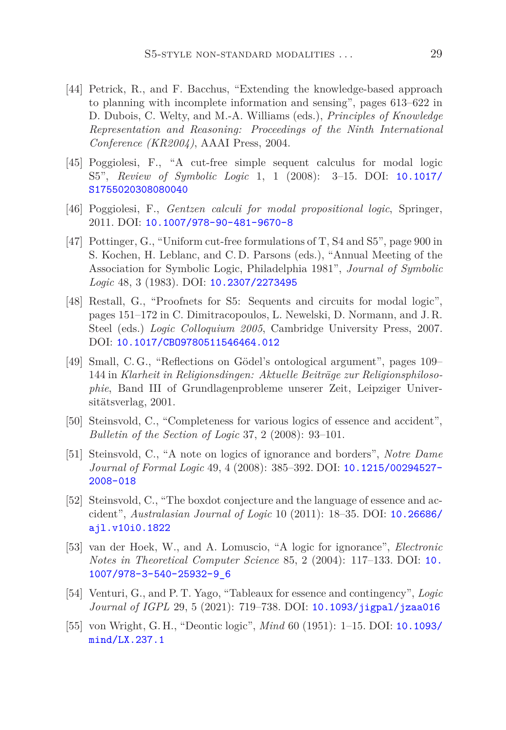- <span id="page-28-1"></span>[44] Petrick, R., and F. Bacchus, "Extending the knowledge-based approach to planning with incomplete information and sensing", pages 613–622 in D. Dubois, C. Welty, and M.-A. Williams (eds.), *Principles of Knowledge Representation and Reasoning: Proceedings of the Ninth International Conference (KR2004)*, AAAI Press, 2004.
- <span id="page-28-6"></span>[45] Poggiolesi, F., "A cut-free simple sequent calculus for modal logic S5", *Review of Symbolic Logic* 1, 1 (2008): 3–15. DOI: [10.1017/](http://dx.doi.org/10.1017/S1755020308080040) [S1755020308080040](http://dx.doi.org/10.1017/S1755020308080040)
- <span id="page-28-9"></span>[46] Poggiolesi, F., *Gentzen calculi for modal propositional logic*, Springer, 2011. DOI: [10.1007/978-90-481-9670-8](http://dx.doi.org/10.1007/978-90-481-9670-8)
- <span id="page-28-5"></span>[47] Pottinger, G., "Uniform cut-free formulations of T, S4 and S5", page 900 in S. Kochen, H. Leblanc, and C. D. Parsons (eds.), "Annual Meeting of the Association for Symbolic Logic, Philadelphia 1981", *Journal of Symbolic Logic* 48, 3 (1983). DOI: [10.2307/2273495](http://dx.doi.org/10.2307/2273495)
- <span id="page-28-4"></span>[48] Restall, G., "Proofnets for S5: Sequents and circuits for modal logic", pages 151–172 in C. Dimitracopoulos, L. Newelski, D. Normann, and J. R. Steel (eds.) *Logic Colloquium 2005*, Cambridge University Press, 2007. DOI: [10.1017/CBO9780511546464.012](http://dx.doi.org/10.1017/CBO9780511546464.012)
- <span id="page-28-10"></span>[49] Small, C. G., "Reflections on Gödel's ontological argument", pages 109– 144 in *Klarheit in Religionsdingen: Aktuelle Beiträge zur Religionsphilosophie*, Band III of Grundlagenprobleme unserer Zeit, Leipziger Universitätsverlag, 2001.
- <span id="page-28-7"></span>[50] Steinsvold, C., "Completeness for various logics of essence and accident", *Bulletin of the Section of Logic* 37, 2 (2008): 93–101.
- <span id="page-28-3"></span>[51] Steinsvold, C., "A note on logics of ignorance and borders", *Notre Dame Journal of Formal Logic* 49, 4 (2008): 385–392. DOI: [10.1215/00294527-](http://dx.doi.org/10.1215/00294527-2008-018) [2008-018](http://dx.doi.org/10.1215/00294527-2008-018)
- <span id="page-28-11"></span>[52] Steinsvold, C., "The boxdot conjecture and the language of essence and accident", *Australasian Journal of Logic* 10 (2011): 18–35. DOI: [10.26686/](http://dx.doi.org/10.26686/ajl.v10i0.1822) [ajl.v10i0.1822](http://dx.doi.org/10.26686/ajl.v10i0.1822)
- <span id="page-28-0"></span>[53] van der Hoek, W., and A. Lomuscio, "A logic for ignorance", *Electronic Notes in Theoretical Computer Science* 85, 2 (2004): 117–133. DOI: [10.](http://dx.doi.org/10.1007/978-3-540-25932-9_6) [1007/978-3-540-25932-9\\_6](http://dx.doi.org/10.1007/978-3-540-25932-9_6)
- <span id="page-28-8"></span>[54] Venturi, G., and P. T. Yago, "Tableaux for essence and contingency", *Logic Journal of IGPL* 29, 5 (2021): 719–738. DOI: [10.1093/jigpal/jzaa016](http://dx.doi.org/10.1093/jigpal/jzaa016)
- <span id="page-28-2"></span>[55] von Wright, G. H., "Deontic logic", *Mind* 60 (1951): 1–15. DOI: [10.1093/](http://dx.doi.org/10.1093/mind/LX.237.1) [mind/LX.237.1](http://dx.doi.org/10.1093/mind/LX.237.1)